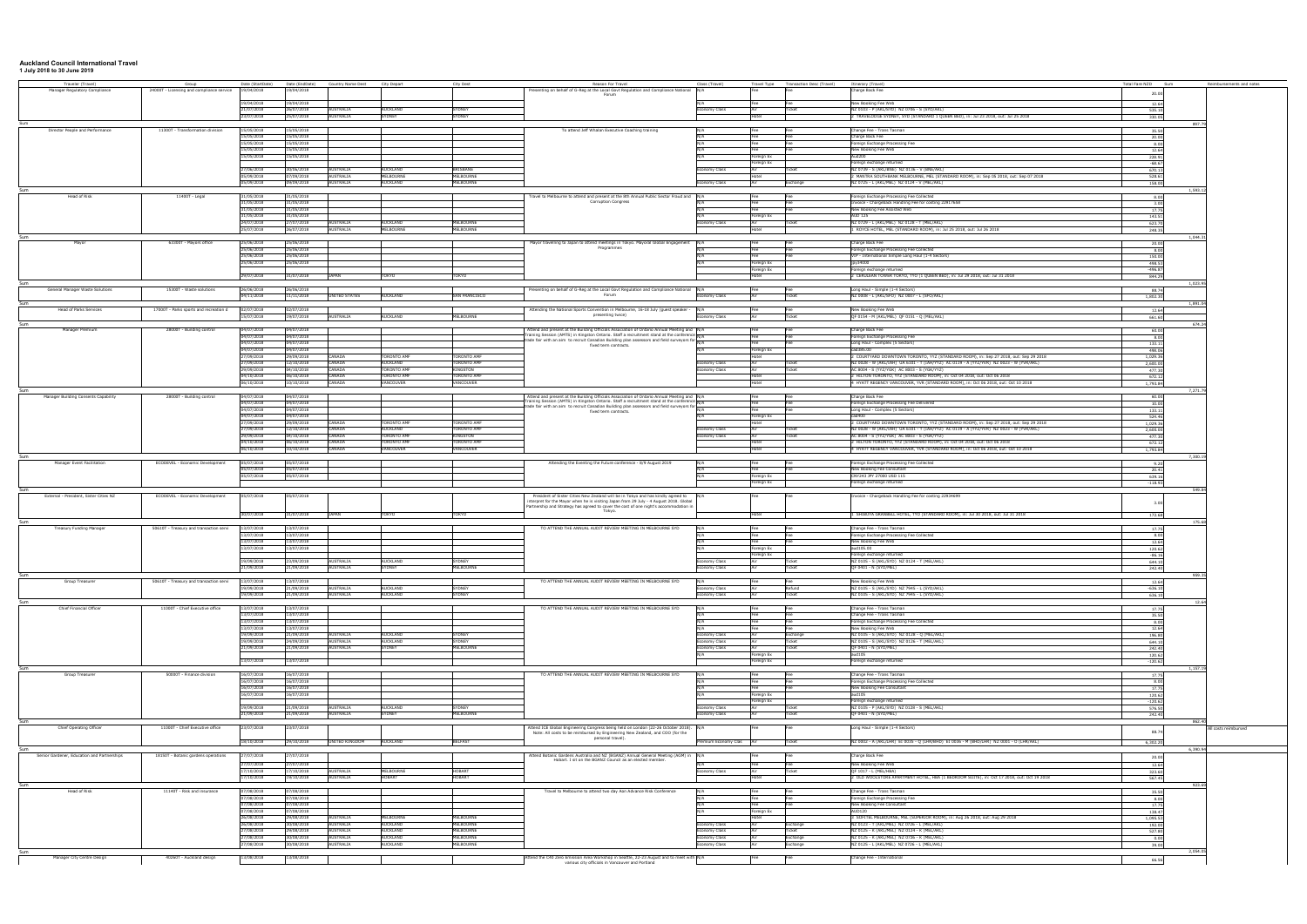## **Auckland Council International Travel 1 July 2018 to 30 June 2019**

| Traveler (Travel)                           | Group                                     |                          | Date (StartDate) Date (EndDate) | Country Name Dest             | City Depart                              | City Dest                          | Reason For Travel                                                                                                                                                                                                                                                                               | Class (Travel)                 |                          | Travel Type Transaction Desc (Travel) | Itinerary (Travel)                                                                                                                                        | Total Fare NZD Sum  |         | Reimbursements and notes |
|---------------------------------------------|-------------------------------------------|--------------------------|---------------------------------|-------------------------------|------------------------------------------|------------------------------------|-------------------------------------------------------------------------------------------------------------------------------------------------------------------------------------------------------------------------------------------------------------------------------------------------|--------------------------------|--------------------------|---------------------------------------|-----------------------------------------------------------------------------------------------------------------------------------------------------------|---------------------|---------|--------------------------|
| Manager Regulatory Compliance               | 24000T - Licensing and compliance service | 19/04/2018               | 19/04/2018                      |                               |                                          |                                    | Presenting on behalf of G-Reg at the Local Govt Regulation and Compliance National N/A<br>Forum                                                                                                                                                                                                 |                                |                          |                                       | harge Back Fee                                                                                                                                            | 20.00               |         |                          |
|                                             |                                           | 19/04/2018               | 19/04/2018                      |                               |                                          |                                    |                                                                                                                                                                                                                                                                                                 |                                |                          |                                       | New Booking Fee Web                                                                                                                                       |                     |         |                          |
|                                             |                                           | 21/07/2018               | 26/07/2018                      | <b>AUSTRALIA</b>              | <b>AUCKLAND</b>                          | <b>SYDNEY</b>                      |                                                                                                                                                                                                                                                                                                 | nomy Class                     | Fee                      | Fee<br>Ticket                         | NZ 0103 - P (AKL/SYD) NZ 0706 - S (SYD/AKL)                                                                                                               | 12.64<br>535.10     |         |                          |
|                                             |                                           | 23/07/2018               | 25/07/2018                      | <b>AUSTRALIA</b>              | <b>SYDNEY</b>                            | SYDNEY                             |                                                                                                                                                                                                                                                                                                 |                                |                          |                                       | TRAVELODGE SYDNEY, SYD (STANDARD 1 QUEEN BED), in: Jul 23 2018, out: Jul 25 2018                                                                          | 330.05              |         |                          |
|                                             |                                           |                          |                                 |                               |                                          |                                    |                                                                                                                                                                                                                                                                                                 |                                |                          |                                       |                                                                                                                                                           |                     | 8977    |                          |
| Director People and Performance             | 11300T - Transformation division          | 15/05/2018<br>5/05/2018  | 15/05/2018<br>15/05/2018        |                               |                                          |                                    | To attend Jeff Whalan Executive Coaching training                                                                                                                                                                                                                                               | N/A                            | Fee                      | <b> Fee</b><br>Fee                    | Change Fee - Trans Tasman<br>harge Back Fee                                                                                                               | 35.50<br>20.00      |         |                          |
|                                             |                                           | 15/05/2018               | 15/05/2018                      |                               |                                          |                                    |                                                                                                                                                                                                                                                                                                 |                                | Fee                      | Fee                                   | oreign Exchange Processing Fee                                                                                                                            | 8.00                |         |                          |
|                                             |                                           | 15/05/2018               | 15/05/2018                      |                               |                                          |                                    |                                                                                                                                                                                                                                                                                                 |                                |                          |                                       | New Booking Fee Web                                                                                                                                       | 12.64               |         |                          |
|                                             |                                           | 15/05/2018               | 15/05/2018                      |                               |                                          |                                    |                                                                                                                                                                                                                                                                                                 |                                | Foreian Ex<br>Foreian Ex |                                       | Aud200<br>oreign exchange returned                                                                                                                        | 228.91<br>$-68.67$  |         |                          |
|                                             |                                           | 27/06/2018               | 30/06/2018                      | <b>AUSTRALIA</b>              | <b>AUCKLAND</b>                          | RISBANE                            |                                                                                                                                                                                                                                                                                                 | nomy Class                     |                          | Ticket                                | NZ 0739 - S (AKL/BNE) NZ 0136 - V (BNE/AKL)                                                                                                               | 670.13              |         |                          |
|                                             |                                           | 05/09/2018               | 07/09/2018                      | AUSTRALIA                     | MELBOURNE                                | MELBOURNE                          |                                                                                                                                                                                                                                                                                                 |                                | ntel                     |                                       | MANTRA SOUTHBANK MELBOURNE, MEL (STANDARD ROOM), in: Sep 05 2018, out: Sep 07 2018                                                                        | 528.61              |         |                          |
|                                             |                                           | 05/09/2018               | 09/09/2018                      | AUSTRALIA                     | <b>AUCKLAND</b>                          | <b>MELBOURNE</b>                   |                                                                                                                                                                                                                                                                                                 | onomy Class                    |                          | Exchange                              | NZ 0725 - L (AKL/MEL) NZ 0124 - V (MEL/AKL)                                                                                                               | 158.00              |         |                          |
| lead of Risk                                | 11400T - Legal                            | 1/05/2018                | 31/05/2018                      |                               |                                          |                                    | Travel to Melbourne to attend and present at the 8th Annual Public Sector Fraud and N/A                                                                                                                                                                                                         |                                |                          | Fee                                   | Foreign Exchange Processing Fee Collected                                                                                                                 | 8.00                |         |                          |
|                                             |                                           | 31/05/2018               | 31/05/2018                      |                               |                                          |                                    | <b>Corruption Congress</b>                                                                                                                                                                                                                                                                      |                                |                          | Fee                                   | voice - Chargeback Handling Fee for costing 22917658                                                                                                      | 3.00                |         |                          |
|                                             |                                           | 31/05/2018<br>31/05/2018 | 31/05/2018                      |                               |                                          |                                    |                                                                                                                                                                                                                                                                                                 |                                |                          |                                       | New Booking Fee Assisted Web<br><b>AUD 125</b>                                                                                                            | 17.75               |         |                          |
|                                             |                                           | 24/07/2018               | 31/05/2018<br>27/07/2018        | <b>AUSTRALIA</b>              | AUCKI AND                                | <b>IELBOURNE</b>                   |                                                                                                                                                                                                                                                                                                 | nomy Class                     | Foreign Ex               | icke                                  | NZ 0729 - L (AKL/MEL) NZ 0128 - T (MEL/AKL)                                                                                                               | 143.51<br>623.70    |         |                          |
|                                             |                                           | 25/07/2018               | 26/07/2018                      | <b>AUSTRALIA</b>              | MELBOURNE                                | MELBOURNE                          |                                                                                                                                                                                                                                                                                                 |                                |                          |                                       | ROYCE HOTEL, MEL (STANDARD ROOM), in: Jul 25 2018, out: Jul 26 2018                                                                                       | 248.35              |         |                          |
|                                             |                                           |                          |                                 |                               |                                          |                                    |                                                                                                                                                                                                                                                                                                 |                                |                          |                                       |                                                                                                                                                           |                     | 1.044.7 |                          |
|                                             | 63300T - Mayors office                    | 25/06/2018               | 25/06/2018                      |                               |                                          |                                    | Mayor travelling to Japan to attend meetings in Tokyo. Mayoral Global Engagement N/A<br>Programmes                                                                                                                                                                                              |                                | Fee                      | Fee                                   | Charge Back Fee                                                                                                                                           | 20.00               |         |                          |
|                                             |                                           | 25/06/2018<br>25/06/2018 | 25/06/2018<br>25/06/2018        |                               |                                          |                                    |                                                                                                                                                                                                                                                                                                 | N/A<br>N/A                     | Fee<br>Fee               | Fee<br>Fee                            | Foreign Exchange Processing Fee Collected<br>VIP - International Simple Long Haul (1-4 Sectors)                                                           | 8.00<br>150.00      |         |                          |
|                                             |                                           | 25/06/2018               | 25/06/2018                      |                               |                                          |                                    |                                                                                                                                                                                                                                                                                                 | N/A                            | Foreign Ex               |                                       | jpy34000                                                                                                                                                  | 498.53              |         |                          |
|                                             |                                           |                          |                                 |                               |                                          |                                    |                                                                                                                                                                                                                                                                                                 |                                | Foreign Ex               |                                       | oreign exchange returned                                                                                                                                  | $-496.87$           |         |                          |
|                                             |                                           | 29/07/2018               | 31/07/2018                      | <b>JAPAN</b>                  | <b>TOKYO</b>                             | токуо                              |                                                                                                                                                                                                                                                                                                 |                                |                          |                                       | CERULEAN TOWER TOKYO, TYO (1 QUEEN BED), in: Jul 29 2018, out: Jul 31 2018                                                                                | 844.29              |         |                          |
| General Manager Waste Solutions             | 15300T - Waste solutions                  | 26/06/2018               | 26/06/2018                      |                               |                                          |                                    | Presenting on behalf of G-Reg at the Local Govt Regulation and Compliance National N/A                                                                                                                                                                                                          |                                | Fee                      | Fee                                   | Long Haul - Simple (1-4 Sectors)                                                                                                                          | 88.74               | 1.023.0 |                          |
|                                             |                                           | 04/11/2018               | 11/11/2018                      | UNITED STATES                 | AUCKLAND                                 | <b>SAN FRANCISCO</b>               | Forum                                                                                                                                                                                                                                                                                           | Economy Class                  |                          | Ticket                                | NZ 0008 - L (AKL/SFO) NZ 0007 - L (SFO/AKL)                                                                                                               | 1,802.30            |         |                          |
|                                             |                                           |                          |                                 |                               |                                          |                                    |                                                                                                                                                                                                                                                                                                 |                                |                          |                                       |                                                                                                                                                           |                     |         |                          |
| lead of Parks Services                      | 17000T - Parks sports and recreation d    | 02/07/2018<br>15/07/2018 | 12/07/2018<br>19/07/2018        | <b>AUSTRALIA</b>              | AUCKLAND                                 | MELBOURNE                          | Attending the National Sports Convention in Melbourne, 16-18 July (guest speaker<br>presenting twice)                                                                                                                                                                                           | nomy Class                     |                          |                                       | New Booking Fee Web<br>QF 0154 - M (AKL/MEL) QF 0151 - Q (MEL/AKL)                                                                                        | 12.64               |         |                          |
|                                             |                                           |                          |                                 |                               |                                          |                                    |                                                                                                                                                                                                                                                                                                 |                                |                          |                                       |                                                                                                                                                           | 661.60              | 674.2   |                          |
| Manager Premium                             | 28000T - Building control                 | 04/07/2018               | 04/07/2018                      |                               |                                          |                                    | Attend and present at the Building Officials Association of Ontario Annual Meeting and N/A                                                                                                                                                                                                      |                                | Fee                      |                                       | Charge Back Fee                                                                                                                                           | 60.00               |         |                          |
|                                             |                                           | 04/07/2018               | 04/07/2018                      |                               |                                          |                                    | Training Session (AMTS) in Kingston Ontario. Staff a recruitment stand at the conference N/A<br>Training Session (Amits) in Kingston Unitario, Stan a recommissive Stand of List Trum<br> -<br>  trade fair with an aim to recruit Canadian Building plan assessors and field surveyors for N/A |                                | Fee                      | Fee                                   | oreign Exchange Processing Fee                                                                                                                            | 8.00                |         |                          |
|                                             |                                           | 04/07/2018<br>04/07/2018 | 04/07/2018<br>04/07/2018        |                               |                                          |                                    | fixed term contracts.                                                                                                                                                                                                                                                                           |                                | Fee<br>Foreign Ex        | Fee                                   | Long Haul - Complex (5 Sectors)<br>cad385.00                                                                                                              | 133.11<br>498.06    |         |                          |
|                                             |                                           | 7/09/2018                | 29/09/2018                      | ANADA                         | ORONTO AMF                               | ORONTO AMF                         |                                                                                                                                                                                                                                                                                                 |                                |                          |                                       | COURTYARD DOWNTOWN TORONTO, YYZ (STANDARD ROOM), in: Sep 27 2018, out: Sep 29 2018                                                                        | 1,029.36            |         |                          |
|                                             |                                           | 7/09/2018                | 12/10/2018                      | CANADA                        | <b>AUCKLAND</b>                          | ORONTO AMF                         |                                                                                                                                                                                                                                                                                                 | onomy Class                    |                          | Ticket                                | NZ 0028 - W (AKL/IAH) UA 6101 - T (IAH/YYZ) AC 0119 - A (YYZ/YVR) NZ 0023 - W (YVR/AKL)                                                                   | 2,600.00            |         |                          |
|                                             |                                           | 29/09/2018               | 04/10/2018                      | CANADA                        | <b>FORONTO AMF</b>                       | KINGSTON                           |                                                                                                                                                                                                                                                                                                 | nomy Class                     |                          | Ticket                                | AC 8004 - S (YYZ/YGK) AC 8003 - S (YGK/YYZ)                                                                                                               | 477.30              |         |                          |
|                                             |                                           | 04/10/2018<br>06/10/2018 | 06/10/2018<br>10/10/2018        | CANADA<br>CANADA              | <b>FORONTO AMF</b><br>VANCOUVER          | <b>TORONTO AMF</b><br>VANCOUVER    |                                                                                                                                                                                                                                                                                                 |                                | Hotel<br>Hotel           |                                       | HILTON TORONTO, YYZ (STANDARD ROOM), in: Oct 04 2018, out: Oct 06 2018<br>HYATT REGENCY VANCOUVER, YVR (STANDARD ROOM), in: Oct 06 2018, out: Oct 10 2018 | 672.12<br>1.793.84  |         |                          |
|                                             |                                           |                          |                                 |                               |                                          |                                    |                                                                                                                                                                                                                                                                                                 |                                |                          |                                       |                                                                                                                                                           |                     | 7.271.7 |                          |
| Manager Building Consents Capability        | 28000T - Building control                 | 04/07/2018               | 04/07/2018                      |                               |                                          |                                    | Attend and present at the Building Officials Association of Ontario Annual Meeting and N/A<br>Training Session (AMTS) in Kingston Ontario. Staff a recruitment stand at the conference N/A                                                                                                      |                                | Fee                      | Fee                                   | Charge Back Fee                                                                                                                                           | 60.00               |         |                          |
|                                             |                                           | 04/07/2018<br>04/07/2018 | 04/07/2018<br>04/07/2018        |                               |                                          |                                    | trade fair with an aim to recruit Canadian Building plan assessors and field surveyors for <b>NATA</b>                                                                                                                                                                                          |                                |                          | Fee                                   | oreign Exchange Processing Fee Delivered<br>Long Haul - Complex (5 Sectors)                                                                               | 10.00               |         |                          |
|                                             |                                           | 04/07/2018               | 04/07/2018                      |                               |                                          |                                    | fixed term contracts.                                                                                                                                                                                                                                                                           |                                | Fee<br>Foreian Ex        | Fee                                   | cad400                                                                                                                                                    | 133.11<br>524.46    |         |                          |
|                                             |                                           | 27/09/2018               | 29/09/2018                      | CANADA                        | <b>FORONTO AMF</b>                       | ORONTO AMF                         |                                                                                                                                                                                                                                                                                                 |                                |                          |                                       | COURTYARD DOWNTOWN TORONTO, YYZ (STANDARD ROOM), in: Sep 27 2018, out: Sep 29 2018                                                                        | 1,029.36            |         |                          |
|                                             |                                           | 27/09/2018               | 12/10/2018                      | CANADA                        | AUCKLAND                                 | TORONTO AMF                        |                                                                                                                                                                                                                                                                                                 | onomy Class                    |                          | <b>Ticket</b>                         | NZ 0028 - W (AKL/IAH) UA 6101 - T (IAH/YYZ) AC 0119 - A (YYZ/YVR) NZ 0023 - W (YVR/AKL)                                                                   | 2,600.00            |         |                          |
|                                             |                                           | 29/09/2018<br>04/10/2018 | 04/10/2018<br>06/10/2018        | CANADA<br>CANADA              | <b>FORONTO AMF</b><br><b>FORONTO AMF</b> | KINGSTON<br>TORONTO AMF            |                                                                                                                                                                                                                                                                                                 | nomy Class                     |                          | Ticket                                | AC 8004 - S (YYZ/YGK) AC 8003 - S (YGK/YYZ)<br>HILTON TORONTO, YYZ (STANDARD ROOM), in: Oct 04 2018, out: Oct 06 2018                                     | 477.30<br>672.12    |         |                          |
|                                             |                                           | 06/10/2018               | 10/10/2018                      | CANADA                        | VANCOUVER                                | VANCOUVER                          |                                                                                                                                                                                                                                                                                                 |                                | Hotel                    |                                       | 4 HYATT REGENCY VANCOUVER, YVR (STANDARD ROOM), in: Oct 06 2018, out: Oct 10 2018                                                                         | 1 793 84            |         |                          |
|                                             |                                           |                          |                                 |                               |                                          |                                    |                                                                                                                                                                                                                                                                                                 |                                |                          |                                       |                                                                                                                                                           |                     | 7.300.1 |                          |
| Manager Event Facilitation                  | ECODEVEL - Economic Development           | 5/07/2018<br>5/07/2018   | 05/07/2018                      |                               |                                          |                                    | Attending the Eventing the Future conference - 8/9 August 2019                                                                                                                                                                                                                                  | N/A                            | Fee                      | Fee                                   | Foreign Exchange Processing Fee Collected                                                                                                                 | 9.20                |         |                          |
|                                             |                                           | 05/07/2018               | 05/07/2018<br>05/07/2018        |                               |                                          |                                    |                                                                                                                                                                                                                                                                                                 |                                | Foreign Ex               | Fee                                   | New Booking Fee Consultant<br>CNY243 JPY 27000 USD 115                                                                                                    | 20.41<br>639.16     |         |                          |
|                                             |                                           |                          |                                 |                               |                                          |                                    |                                                                                                                                                                                                                                                                                                 |                                | Foreign Ex               |                                       | oreign exchange returned                                                                                                                                  | $-118.93$           |         |                          |
|                                             |                                           |                          |                                 |                               |                                          |                                    |                                                                                                                                                                                                                                                                                                 |                                |                          |                                       |                                                                                                                                                           |                     | 549.8   |                          |
| External - President, Sister Cities NZ      | ECODEVEL - Economic Development           | 05/07/2018               | 05/07/2018                      |                               |                                          |                                    | President of Sister Cities New Zealand will be in Tokyo and has kindly agreed to N/.<br>interpret for the Mayor when he is visiting Japan from 29 July - 4 August 2018. Global                                                                                                                  |                                |                          |                                       | nvoice - Chargeback Handling Fee for costing 22934699                                                                                                     |                     |         |                          |
|                                             |                                           |                          |                                 |                               |                                          |                                    | Partnership and Strategy has agreed to cover the cost of one night's accommodation in<br>Tokyo.                                                                                                                                                                                                 |                                |                          |                                       |                                                                                                                                                           | 3.00                |         |                          |
|                                             |                                           | 30/07/2018               | 31/07/2018                      | <b>JAPAN</b>                  | <b>TOKYO</b>                             | токуо                              |                                                                                                                                                                                                                                                                                                 |                                | Hotel                    |                                       | SHIBUYA GRANBELL HOTEL, TYO (STANDARD ROOM), in: Jul 30 2018, out: Jul 31 2018                                                                            | 172.68              |         |                          |
|                                             |                                           |                          |                                 |                               |                                          |                                    |                                                                                                                                                                                                                                                                                                 |                                |                          |                                       |                                                                                                                                                           |                     | 175.6   |                          |
| Treasury Funding Manager                    | 50610T - Treasury and transaction servi   | 13/07/2018<br>13/07/2018 | 13/07/2018<br>13/07/2018        |                               |                                          |                                    | TO ATTEND THE ANNUAL AUDIT REVIEW MEETING IN MELBOURNE SYD                                                                                                                                                                                                                                      | N/A                            |                          | Fee                                   | Change Fee - Trans Tasman<br>oreign Exchange Processing Fee Collected                                                                                     | 17.75<br>8.00       |         |                          |
|                                             |                                           | 13/07/2018               | 13/07/2018                      |                               |                                          |                                    |                                                                                                                                                                                                                                                                                                 | N/A                            | Fee                      | Fee                                   | New Booking Fee Web                                                                                                                                       | 12.64               |         |                          |
|                                             |                                           | 13/07/2018               | 13/07/2018                      |                               |                                          |                                    |                                                                                                                                                                                                                                                                                                 | N/A                            | Foreign Ex               |                                       | aud105.00                                                                                                                                                 | 120.62              |         |                          |
|                                             |                                           |                          |                                 |                               |                                          |                                    |                                                                                                                                                                                                                                                                                                 |                                | Foreian Ex               |                                       | Foreign exchange returned<br>NZ 0105 - S (AKL/SYD) NZ 0124 - T (MEL/AKL)                                                                                  | $-86.16$            |         |                          |
|                                             |                                           | 9/09/2018<br>1/09/2018   | 23/09/2018<br>21/09/2018        | AUSTRALIA<br>AUSTRALIA        | <b>AUCKLAND</b><br>YDNFY                 | <b>SYDNEY</b><br><b>IFI BOURNE</b> |                                                                                                                                                                                                                                                                                                 | omy Class<br>omy Class         |                          | .<br>Ticke                            | QF 0401 - N (SYD/MEL)                                                                                                                                     | 644.10<br>242.40    |         |                          |
|                                             |                                           |                          |                                 |                               |                                          |                                    |                                                                                                                                                                                                                                                                                                 |                                |                          |                                       |                                                                                                                                                           |                     |         |                          |
| Group Treasurer                             | 50610T - Treasury and transaction servi   | 13/07/2018               | 13/07/2018                      |                               |                                          |                                    | TO ATTEND THE ANNUAL AUDIT REVIEW MEETING IN MELBOURNE SYD                                                                                                                                                                                                                                      | N/A                            |                          |                                       | New Booking Fee Web                                                                                                                                       | 12.64               |         |                          |
|                                             |                                           | 19/09/2018<br>19/09/2018 | 21/09/2018<br>21/09/2018        | AUSTRALIA<br>AUSTRALIA        | AUCKLAND<br>AUCKLAND                     | SYDNEY<br>SYDNEY                   |                                                                                                                                                                                                                                                                                                 | Economy Class<br>Economy Class |                          | Refund<br><b>Ticket</b>               | NZ 0105 - S (AKL/SYD) NZ 7945 - L (SYD/AKL)<br>NZ 0105 - S (AKL/SYD) NZ 7945 - L (SYD/AKL)                                                                | $-636.10$           |         |                          |
| Sum                                         |                                           |                          |                                 |                               |                                          |                                    |                                                                                                                                                                                                                                                                                                 |                                |                          |                                       |                                                                                                                                                           | 636.10              | 12.6    |                          |
| Chief Financial Officer                     | 11000T - Chief Executive office           | 13/07/2018               | 13/07/2018                      |                               |                                          |                                    | TO ATTEND THE ANNUAL AUDIT REVIEW MEETING IN MELBOURNE SYD                                                                                                                                                                                                                                      | N/A                            |                          | <b>IFee</b>                           | Change Fee - Trans Tasman                                                                                                                                 | 17.75               |         |                          |
|                                             |                                           | 13/07/2018               | 13/07/2018                      |                               |                                          |                                    |                                                                                                                                                                                                                                                                                                 |                                |                          | Fee                                   | Change Fee - Trans Tasman                                                                                                                                 | 35.50               |         |                          |
|                                             |                                           | 13/07/2018<br>13/07/2018 | 13/07/2018<br>13/07/2018        |                               |                                          |                                    |                                                                                                                                                                                                                                                                                                 |                                |                          |                                       | Foreign Exchange Processing Fee Collected<br>New Booking Fee Web                                                                                          | 8.00                |         |                          |
|                                             |                                           | 19/09/2018               | 21/09/2018                      | AUSTRALIA                     | AUCKLAND                                 | SYDNEY                             |                                                                                                                                                                                                                                                                                                 | nomy Class                     |                          | Fee<br>Exchange                       | NZ 0105 - S (AKL/SYD) NZ 0128 - Q (MEL/AKL)                                                                                                               | 12.64<br>196.80     |         |                          |
|                                             |                                           | 19/09/2018               | 24/09/2018                      | AUSTRALIA                     | AUCKLAND                                 | SYDNEY                             |                                                                                                                                                                                                                                                                                                 | conomy Class                   |                          | Ticket                                | NZ 0105 - S (AKL/SYD) NZ 0126 - T (MEL/AKL)                                                                                                               | 644.10              |         |                          |
|                                             |                                           | 21/09/2018               | 21/09/2018                      | <b>AUSTRALIA</b>              | <b>SYDNEY</b>                            | MELBOURNE                          |                                                                                                                                                                                                                                                                                                 | nomy Class                     |                          | Ticket                                | QF 0401 - N (SYD/MEL)                                                                                                                                     | 242.40              |         |                          |
|                                             |                                           | 13/07/2018               | 13/07/2018                      |                               |                                          |                                    |                                                                                                                                                                                                                                                                                                 |                                | Foreign Ex<br>Foreign Ex |                                       | aud105<br>Foreign exchange returned                                                                                                                       | 120.62              |         |                          |
|                                             |                                           |                          |                                 |                               |                                          |                                    |                                                                                                                                                                                                                                                                                                 |                                |                          |                                       |                                                                                                                                                           | $-120.62$           | 1.157.1 |                          |
| Group Treasure                              | 50000T - Finance division                 | 6/07/2018                | 16/07/2018                      |                               |                                          |                                    | TO ATTEND THE ANNUAL AUDIT REVIEW MEETING IN MELBOURNE SYD                                                                                                                                                                                                                                      |                                |                          |                                       | hange Fee - Trans Tasman                                                                                                                                  | 17.75               |         |                          |
|                                             |                                           | 16/07/2018               | 16/07/2018                      |                               |                                          |                                    |                                                                                                                                                                                                                                                                                                 |                                |                          |                                       | oreign Exchange Processing Fee Collected                                                                                                                  | 8.00                |         |                          |
|                                             |                                           | 16/07/2018<br>16/07/2018 | 16/07/2018<br>16/07/2018        |                               |                                          |                                    |                                                                                                                                                                                                                                                                                                 | N/A<br>N/A                     | Foreign Ex               |                                       | New Booking Fee Consultant<br>aud105                                                                                                                      | 17.75               |         |                          |
|                                             |                                           |                          |                                 |                               |                                          |                                    |                                                                                                                                                                                                                                                                                                 |                                | Foreign Ex               |                                       | Foreign exchange returned                                                                                                                                 | 120.62<br>$-120.62$ |         |                          |
|                                             |                                           | 9/09/2018                | 21/09/2018                      | <b>AUSTRALIA</b>              | AUCKLAND                                 | SYDNEY                             |                                                                                                                                                                                                                                                                                                 | nomy Class                     |                          | .<br>Ticke                            | NZ 0105 - P (AKL/SYD) NZ 0128 - S (MEL/AKL)                                                                                                               | 576.50              |         |                          |
|                                             |                                           | 21/09/2018               | 21/09/2018                      | <b>AUSTRALIA</b>              | SYDNEY                                   | <b>MELBOURNE</b>                   |                                                                                                                                                                                                                                                                                                 | nomy Class                     |                          | Ticket                                | OF 0401 - N (SYD/MEL)                                                                                                                                     | 242.40              |         |                          |
| Chief Operating Officer                     | 11000T - Chief Executive office           | 23/07/2018               | 23/07/2018                      |                               |                                          |                                    | Attend ICE Global Engineering Congress being held on London (22-26 October 2018). N/A                                                                                                                                                                                                           |                                |                          |                                       | Long Haul - Simple (1-4 Sectors)                                                                                                                          |                     | 862.4   | ll costs reimbursed      |
|                                             |                                           |                          |                                 |                               |                                          |                                    | Note: All costs to be reimbursed by Engineering New Zealand, and COO (for the                                                                                                                                                                                                                   |                                |                          |                                       |                                                                                                                                                           | 88.74               |         |                          |
|                                             |                                           | 18/10/2018               | 29/10/2018                      | UNITED KINGDOM                | AUCKLAND                                 | <b>BELFAST</b>                     | personal travel).                                                                                                                                                                                                                                                                               | Premium Economy Clas Air       |                          | Ticket                                | NZ 0002 - A (AKL/LHR) EI 0035 - Q (LHR/BHD) EI 0036 - M (BHD/LHR) NZ 0001 - O (LHR/AKL)                                                                   | 6,302.20            |         |                          |
| Sum                                         |                                           |                          |                                 |                               |                                          |                                    |                                                                                                                                                                                                                                                                                                 |                                |                          |                                       |                                                                                                                                                           |                     | 6,390.9 |                          |
| Senior Gardener, Education and Partnerships | 18150T - Botanic gardens operations       | 7/07/2018                | !7/07/2018                      |                               |                                          |                                    | Attend Botanic Gardens Australia and NZ (BGANZ) Annual General Meeting (AGM) in N/A<br>Hobart. I sit on the BGANZ Council as an elected member.                                                                                                                                                 |                                |                          |                                       | Charge Back Fee                                                                                                                                           | 20.00               |         |                          |
|                                             |                                           | 27/07/2018<br>17/10/2018 | 27/07/2018<br>17/10/2018        | <b>AUSTRALIA</b>              | MELBOURNE                                | <b>IOBART</b>                      |                                                                                                                                                                                                                                                                                                 |                                |                          | Fee                                   | New Booking Fee Web<br>QF 1017 - L (MEL/HBA)                                                                                                              | 12.64               |         |                          |
|                                             |                                           | 17/10/2018               | 19/10/2018                      | AUSTRALIA                     | <b>HOBART</b>                            | HOBART                             |                                                                                                                                                                                                                                                                                                 | nomy Class                     |                          | Ticket                                | 2 OLD WOOLSTORE APARTMENT HOTEL, HBA (1 BEDROOM SUITE), in: Oct 17 2018, out: Oct 19 2018                                                                 | 323.60<br>567.45    |         |                          |
| Sum                                         |                                           |                          |                                 |                               |                                          |                                    |                                                                                                                                                                                                                                                                                                 |                                |                          |                                       |                                                                                                                                                           |                     | 923.6   |                          |
| Head of Risk                                | 11140T - Risk and insurance               | 07/08/2018               | 07/08/2018                      |                               |                                          |                                    | Travel to Melbourne to attend two day Aon Advance Risk Conference                                                                                                                                                                                                                               | N/A                            |                          |                                       | Change Fee - Trans Tasman                                                                                                                                 | 35.50               |         |                          |
|                                             |                                           | 7/08/2018                | 97/08/2018                      |                               |                                          |                                    |                                                                                                                                                                                                                                                                                                 |                                |                          | Fee                                   | Foreign Exchange Processing Fee                                                                                                                           | 8.00                |         |                          |
|                                             |                                           | 07/08/2018<br>07/08/2018 | 07/08/2018<br>07/08/2018        |                               |                                          |                                    |                                                                                                                                                                                                                                                                                                 | N/A<br>N/A                     | Fee<br>Foreign Ex        | Fee                                   | New Booking Fee Consultant<br><b>AUD120</b>                                                                                                               | 17.75<br>138.47     |         |                          |
|                                             |                                           | 26/08/2018               | 29/08/2018                      | <b>AUSTRALIA</b>              | MELBOURNE                                | MEI BOURNE                         |                                                                                                                                                                                                                                                                                                 |                                | ntel                     |                                       | 3 SOFITEL MELBOURNE, MEL (SUPERIOR ROOM), in: Aug 26 2018, out: Aug 29 2018                                                                               | 1,095.53            |         |                          |
|                                             |                                           | 26/08/2018               | 30/08/2018                      | <b>AUSTRALIA</b>              | AUCKLAND                                 | MELBOURNE                          |                                                                                                                                                                                                                                                                                                 | nomy Class                     |                          | Exchange                              | NZ 0123 - T (AKL/MEL) NZ 0726 - L (MEL/AKL)                                                                                                               | 192.00              |         |                          |
|                                             |                                           | 7/08/2018                | 29/08/2018                      | AUSTRALIA                     | <b>AUCKLAND</b><br>AUCKLAND              | MELBOURNE<br>MELBOURNE             |                                                                                                                                                                                                                                                                                                 | onomy Class                    |                          | Ticket<br>Exchange                    | NZ 0125 - K (AKL/MEL) NZ 0124 - K (MEL/AKL)<br>NZ 0125 - K (AKL/MEL) NZ 0726 - K (MEL/AKL)                                                                | 527.80<br>0.00      |         |                          |
|                                             |                                           |                          |                                 |                               |                                          |                                    |                                                                                                                                                                                                                                                                                                 |                                |                          |                                       |                                                                                                                                                           |                     |         |                          |
|                                             |                                           | 27/08/2018<br>27/08/2018 | 30/08/2018<br>30/08/2018        | <b>AUSTRALIA</b><br>AUSTRALIA | AUCKLAND                                 | <b>MELBOURNE</b>                   |                                                                                                                                                                                                                                                                                                 | Economy Class<br>Economy Class |                          | Exchange                              | NZ 0125 - L (AKL/MEL) NZ 0726 - L (MEL/AKL)                                                                                                               | 39.00               |         |                          |
|                                             |                                           |                          |                                 |                               |                                          |                                    |                                                                                                                                                                                                                                                                                                 |                                |                          |                                       |                                                                                                                                                           |                     | 2,054.0 |                          |
| Manager City Centre Design                  | 40260T - Auckland design                  | 13/08/2018               | 13/08/2018                      |                               |                                          |                                    | Attend the C40 Zero Emission Area Workshop in Seattle, 22-23 August and to meet with N/A<br>various city officials in Vancouver and Portland                                                                                                                                                    |                                |                          | Fee                                   | Change Fee - International                                                                                                                                | 66.56               |         |                          |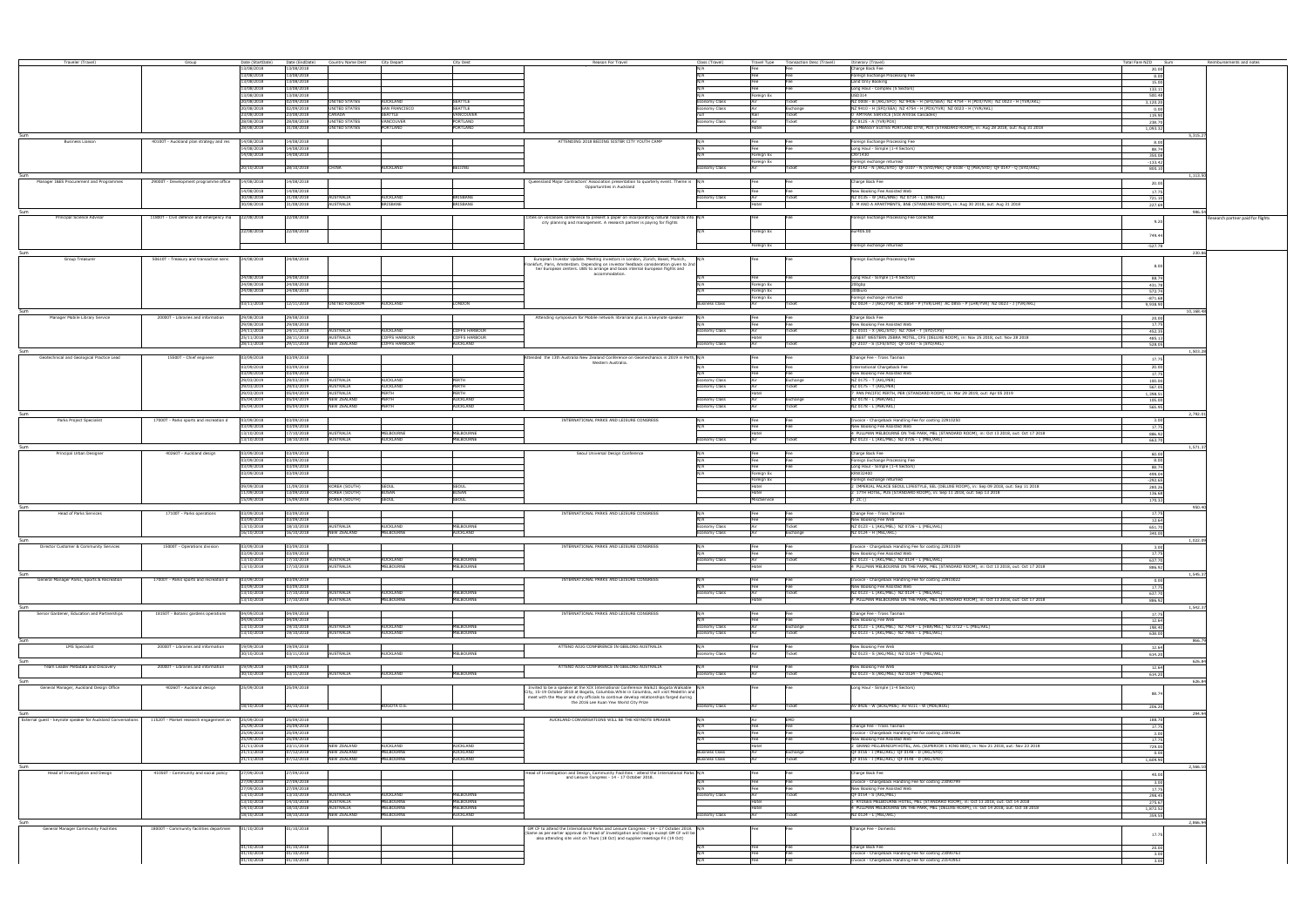| Traveler (Travel)                                                                                    | Group                                                | Date (StartDate)         | Date (EndDate)           | Country Name Dest City Depart            | City Dest                                                                 | Reason For Travel                                                                                                                                                                   | Class (Travel)        |                         | Travel Type Transaction Desc (Travel) | Itinerary (Travel)                                                                                                                    | Total Fare NZD Sum  | Reimbursements and notes         |
|------------------------------------------------------------------------------------------------------|------------------------------------------------------|--------------------------|--------------------------|------------------------------------------|---------------------------------------------------------------------------|-------------------------------------------------------------------------------------------------------------------------------------------------------------------------------------|-----------------------|-------------------------|---------------------------------------|---------------------------------------------------------------------------------------------------------------------------------------|---------------------|----------------------------------|
|                                                                                                      |                                                      | 13/08/2018               | 13/08/2018               |                                          |                                                                           |                                                                                                                                                                                     | N/A                   | Fee                     | Fee                                   | Charge Back Fee                                                                                                                       | 20.00               |                                  |
|                                                                                                      |                                                      | 3/08/2018                | 13/08/2018               |                                          |                                                                           |                                                                                                                                                                                     |                       |                         |                                       | reign Exchange Processing Fee                                                                                                         | 8.00                |                                  |
|                                                                                                      |                                                      | 3/08/2018                | 13/08/2018               |                                          |                                                                           |                                                                                                                                                                                     |                       |                         |                                       | Land Only Booking                                                                                                                     | 15.00               |                                  |
|                                                                                                      |                                                      | 3/08/2018                | 13/08/2018               |                                          |                                                                           |                                                                                                                                                                                     |                       |                         |                                       | Long Haul - Complex (5 Sectors)                                                                                                       | 133.11              |                                  |
|                                                                                                      |                                                      | 13/08/2018<br>20/08/2018 | 13/08/2018<br>02/09/2018 | <b>UNITED STATES</b>                     | SEATTLE<br><b>AUCKLAND</b>                                                |                                                                                                                                                                                     | onomy Class           | oreign Ex               | .<br>Ticke                            | ISD314<br>NZ 0008 - B (AKL/SFO) NZ 9406 - H (SFO/SEA) NZ 4754 - H (PDX/YVR) NZ 0023 - H (YVR/AKL)                                     | 500.48              |                                  |
|                                                                                                      |                                                      | 20/08/2018               | 02/09/2018               | <b>UNITED STATES</b>                     | SAN FRANCISCO<br>SEATTLE                                                  |                                                                                                                                                                                     | iomy Class            |                         | Exchange                              | IZ 9410 - H (SFO/SEA) NZ 4754 - H (PDX/YVR) NZ 0023 - H (YVR/AKL)                                                                     | 3,120.20<br>0.00    |                                  |
|                                                                                                      |                                                      | 23/08/2018               | 23/08/2018               | CANADA                                   | SEATTLE<br>VANCOUVER                                                      |                                                                                                                                                                                     |                       |                         | Ticket                                | AMTRAK SERVICE (518 Amtrak Cascades)                                                                                                  | 119.90              |                                  |
|                                                                                                      |                                                      | 28/08/2018               | 28/08/2018               | <b>UNITED STATES</b>                     | VANCOUVER<br>PORTLAND                                                     |                                                                                                                                                                                     | onomy Class           |                         | Ticket                                | AC 8125 - A (YVR/PDX)                                                                                                                 | 238.70              |                                  |
|                                                                                                      |                                                      | 28/08/2018               | 31/08/2018               | <b>UNITED STATES</b>                     | PORTLAND<br><b>PORTLAND</b>                                               |                                                                                                                                                                                     |                       |                         |                                       | EMBASSY SUITES PORTLAND DTW, PDX (STANDARD ROOM), in: Aug 28 2018, out: Aug 31 2018                                                   | 1,093.32            |                                  |
| Sum<br>Business Liaison                                                                              |                                                      | 14/08/2018               | 14/08/2018               |                                          |                                                                           | ATTENDING 2018 BEIJING SISTER CITY YOUTH CAMP                                                                                                                                       | N/A                   |                         |                                       |                                                                                                                                       |                     | 5,315.2                          |
|                                                                                                      | 40100T - Auckland plan strategy and res              | 4/08/2018                | 14/08/2018               |                                          |                                                                           |                                                                                                                                                                                     | N/A                   |                         |                                       | Foreign Exchange Processing Fee<br>Long Haul - Simple (1-4 Sectors)                                                                   | 8.00<br>88.74       |                                  |
|                                                                                                      |                                                      | 14/08/2018               | 14/08/2018               |                                          |                                                                           |                                                                                                                                                                                     | N/A                   | Foreign Ex              |                                       | CNY1430                                                                                                                               | 350.08              |                                  |
|                                                                                                      |                                                      |                          |                          |                                          |                                                                           |                                                                                                                                                                                     |                       | Foreign Ex              |                                       | Foreign exchange returned                                                                                                             | $-133.42$           |                                  |
|                                                                                                      |                                                      | 20/10/2018               | 28/10/2018               | CHINA                                    | AUCKLAND<br>BEIJING                                                       |                                                                                                                                                                                     | Economy Class         | Air                     | Ticket                                | OF 0142 - N (AKL/SYD) OF 0107 - N (SYD/PEK) OF 0108 - Q (PEK/SYD) OF 0147 - Q (SYD/AKL)                                               | 800.10              |                                  |
| Manager I&ES Procurement and Programmes                                                              | 29000T - Development programme office                | 14/08/2018               | 14/08/2018               |                                          |                                                                           | Queensland Major Contractors' Association presentation to quarterly event. Theme is N/A                                                                                             |                       |                         |                                       | Charge Back Fee                                                                                                                       |                     | 1.113.5                          |
|                                                                                                      |                                                      | 4/08/2018                | 14/08/2018               |                                          |                                                                           | Opportunities in Auckland                                                                                                                                                           |                       |                         |                                       | New Booking Fee Assisted Web                                                                                                          | 20.00               |                                  |
|                                                                                                      |                                                      | 30/08/2018               | 31/08/2018               | <b>AUSTRALIA</b>                         | <b>AUCKLAND</b><br><b>BRISBANE</b>                                        |                                                                                                                                                                                     | Economy Class         |                         | ۲e<br>Ticke                           | NZ 0135 - W (AKL/BNE) NZ 0734 - L (BNE/AKL)                                                                                           | 17.75<br>721.10     |                                  |
|                                                                                                      |                                                      | 30/08/2018               | 31/08/2018               | AUSTRALIA                                | <b>BRISBANE</b><br><b>BRISBANE</b>                                        |                                                                                                                                                                                     |                       | Hotel                   |                                       | 1 M AND A APARTMENTS, BNE (STANDARD ROOM), in: Aug 30 2018, out: Aug 31 2018                                                          | 227.69              |                                  |
|                                                                                                      |                                                      |                          |                          |                                          |                                                                           |                                                                                                                                                                                     |                       |                         |                                       |                                                                                                                                       |                     | 986.5                            |
| Principal Science Advisor                                                                            | 11800T - Civil defence and emergency ma   22/08/2018 |                          | 22/08/2018               |                                          |                                                                           | Cities on volcanoes conference to present a paper on incorporating natural hazards into N/A<br>city planning and management. A research partner is paying for flights               |                       |                         |                                       | Foreign Exchange Processing Fee Collected                                                                                             | 9.20                | esearch partner paid for flights |
|                                                                                                      |                                                      | 2/08/2018                | 22/08/2018               |                                          |                                                                           |                                                                                                                                                                                     |                       | reign Ex                |                                       | eur405.00                                                                                                                             |                     |                                  |
|                                                                                                      |                                                      |                          |                          |                                          |                                                                           |                                                                                                                                                                                     |                       |                         |                                       |                                                                                                                                       | 749.44              |                                  |
|                                                                                                      |                                                      |                          |                          |                                          |                                                                           |                                                                                                                                                                                     |                       | Foreign Ex              |                                       | Foreign exchange returned                                                                                                             | $-527.78$           |                                  |
|                                                                                                      |                                                      |                          |                          |                                          |                                                                           |                                                                                                                                                                                     |                       |                         |                                       |                                                                                                                                       |                     | 230.8                            |
| Group Treasurer                                                                                      | 50610T - Treasury and transaction servi              | 24/08/2018               | 24/08/2018               |                                          |                                                                           | European Investor Update. Meeting investors in London, Zürich, Basel, Munich, N/A<br>rankfurt, Paris, Amsterdam. Depending on investor feedback consideration given to 2nd          |                       |                         |                                       | oreign Exchange Processing Fee                                                                                                        | 8.0                 |                                  |
|                                                                                                      |                                                      |                          |                          |                                          |                                                                           | tier European centers. UBS to arrange and book internal European flights and<br>accommodation.                                                                                      |                       |                         |                                       |                                                                                                                                       |                     |                                  |
|                                                                                                      |                                                      | 24/08/2018               | 24/08/2018               |                                          |                                                                           |                                                                                                                                                                                     |                       |                         |                                       | Long Haul - Simple (1-4 Sectors)                                                                                                      | 88.74               |                                  |
|                                                                                                      |                                                      | 24/08/2018<br>24/08/2018 | 24/08/2018<br>24/08/2018 |                                          |                                                                           |                                                                                                                                                                                     |                       | reign Ex                |                                       | 00abr<br>300 Furo                                                                                                                     | 431.78              |                                  |
|                                                                                                      |                                                      |                          |                          |                                          |                                                                           |                                                                                                                                                                                     |                       | reign Ex<br>oreign Ex   |                                       | Foreign exchange returned                                                                                                             | 572.74<br>$-871.68$ |                                  |
|                                                                                                      |                                                      | 3/11/2018                | 12/11/2018               | UNITED KINGDOM                           | LONDON<br>AUCKLAND                                                        |                                                                                                                                                                                     | <b>Business Class</b> |                         |                                       | NZ 0024 - J (AKL/YVR) AC 0854 - P (YVR/LHR) AC 0855 - P (LHR/YVR) NZ 0023 - J (YVR/AKL)                                               | 9,938.90            |                                  |
|                                                                                                      |                                                      |                          |                          |                                          |                                                                           |                                                                                                                                                                                     |                       |                         |                                       |                                                                                                                                       |                     | 10.168.4                         |
| Manager Mobile Library Service                                                                       | 20000T - Libraries and information                   | 29/08/2018<br>29/08/2018 | 29/08/2018<br>29/08/2018 |                                          |                                                                           | Attending symposium for Mobile network librarians plus is a keynote speake                                                                                                          |                       |                         |                                       | Charge Back Fee<br>ew Booking Fee Assisted Web                                                                                        | 20.00               |                                  |
|                                                                                                      |                                                      | 24/11/2018               | 24/11/2018               | <b>AUSTRALIA</b>                         | OFFS HARBOUR<br><b>NUCKLAND</b>                                           |                                                                                                                                                                                     | omy Class             |                         | icke                                  | NZ 0101 - X (AKL/SYD) NZ 7064 - T (SYD/CFS)                                                                                           | 17.75<br>452.35     |                                  |
|                                                                                                      |                                                      | 25/11/2018               | 28/11/2018               | AUSTRALIA                                | <b>COFFS HARBOUR</b><br>COFFS HARBOUR                                     |                                                                                                                                                                                     |                       |                         |                                       | BEST WESTERN ZEBRA MOTEL, CFS (DELUXE ROOM), in: Nov 25 2018, out: Nov 28 2018                                                        | 485.13              |                                  |
|                                                                                                      |                                                      | 28/11/2018               | 29/11/2018               | <b>NEW ZEALAND</b>                       | <b>COFFS HARBOUR</b><br><b>AUCKLAND</b>                                   |                                                                                                                                                                                     | nomy Class            |                         | Ticket                                | QF 2107 - S (CFS/SYD) QF 0143 - S (SYD/AKL)                                                                                           | 528.05              |                                  |
|                                                                                                      |                                                      |                          |                          |                                          |                                                                           |                                                                                                                                                                                     |                       |                         |                                       |                                                                                                                                       |                     | 1.503.2                          |
| Geotechnical and Geological Practice Lead                                                            | 15500T - Chief engineer                              | 03/09/2018               | 03/09/2018               |                                          |                                                                           | Attended the 13th Australia New Zealand Conference on Geomechanics in 2019 in Perth, N/A<br>Western Australia.                                                                      |                       |                         |                                       | Change Fee - Trans Tasman                                                                                                             | 17.75               |                                  |
|                                                                                                      |                                                      | 03/09/2018<br>03/09/2018 | 03/09/2018<br>03/09/2018 |                                          |                                                                           |                                                                                                                                                                                     |                       |                         |                                       | ternational Chargeback Fee<br>New Booking Fee Assisted Web                                                                            | 20.00<br>17.75      |                                  |
|                                                                                                      |                                                      | 29/03/2019               | 29/03/2019               | AUSTRALIA                                | <b>AUCKLAND</b><br><b>PFRTH</b>                                           |                                                                                                                                                                                     | homy Class            |                         | Exchange                              | NZ 0175 - T (AKL/PER)                                                                                                                 | 100.00              |                                  |
|                                                                                                      |                                                      | 29/03/2019               | 29/03/2019               | <b>AUSTRALIA</b>                         | <b>AUCKLAND</b><br>PERTH                                                  |                                                                                                                                                                                     | iomy Class            |                         | <b>Ticket</b>                         | NZ 0175 - T (AKL/PER)                                                                                                                 | 567.05              |                                  |
|                                                                                                      |                                                      | 29/03/2019               | 05/04/2019               | <b>AUSTRALIA</b>                         | PFRTH<br>PERTH                                                            |                                                                                                                                                                                     |                       |                         |                                       | PAN PACIFIC PERTH, PER (STANDARD ROOM), in: Mar 29 2019, out: Apr 05 2019                                                             | 1,398.51            |                                  |
|                                                                                                      |                                                      | 05/04/2019<br>05/04/2019 | 05/04/2019<br>05/04/2019 | <b>NEW ZEALAND</b><br><b>NEW ZEALAND</b> | <b>AUCKLAND</b><br>PFRTH<br>AUCKLAND<br>PERTH                             |                                                                                                                                                                                     | iomy Class            |                         | Exchange                              | NZ 0178 - L (PER/AKL)<br>NZ 0178 - L (PER/AKL)                                                                                        | 105.00              |                                  |
|                                                                                                      |                                                      |                          |                          |                                          |                                                                           |                                                                                                                                                                                     | my Class              |                         | Ticket                                |                                                                                                                                       | 565.95              | 2.792.0                          |
| Parks Project Specialist                                                                             | 17000T - Parks sports and recreation d               | 03/09/2018               | 03/09/2018               |                                          |                                                                           | INTERNATIONAL PARKS AND LEISURE CONGRESS                                                                                                                                            |                       |                         |                                       | Invoice - Chargeback Handling Fee for costing 22910250                                                                                | 3.00                |                                  |
|                                                                                                      |                                                      | 3/09/2018                | 03/09/2018               |                                          |                                                                           |                                                                                                                                                                                     |                       |                         | Fee                                   | New Booking Fee Assisted Web                                                                                                          | 17.75               |                                  |
|                                                                                                      |                                                      | 13/10/2018               | 17/10/2018               | <b>AUSTRALIA</b>                         | <b>MELBOURNE</b><br><b>MELBOURNE</b><br><b>MELBOURNE</b>                  |                                                                                                                                                                                     |                       |                         |                                       | 4 PULLMAN MELBOURNE ON THE PARK, MEL (STANDARD ROOM), in: Oct 13 2018, out: Oct 17 2018                                               | 886.92              |                                  |
|                                                                                                      |                                                      | 13/10/2018               | 18/10/2018               | AUSTRALIA                                | AUCKLAND                                                                  |                                                                                                                                                                                     | Economy Class         |                         | Ticket                                | NZ 0123 - L (AKL/MEL) NZ 0726 - L (MEL/AKL)                                                                                           | 663.70              | 1,571.3                          |
| Principal Urban Designer                                                                             | 40260T - Auckland design                             | 13/09/2018               | 03/09/2018               |                                          |                                                                           | Seoul Universal Design Conference                                                                                                                                                   | N/A                   |                         |                                       | Charge Back Fee                                                                                                                       | 60.00               |                                  |
|                                                                                                      |                                                      | 3/09/2018                | 03/09/2018               |                                          |                                                                           |                                                                                                                                                                                     | N/A                   | Fee                     | Fee                                   | Foreign Exchange Processing Fee                                                                                                       | 8.00                |                                  |
|                                                                                                      |                                                      | 03/09/2018<br>03/09/2018 | 03/09/2018<br>03/09/2018 |                                          |                                                                           |                                                                                                                                                                                     | N/A                   |                         | Fee                                   | Long Haul - Simple (1-4 Sectors)<br>KRW32400                                                                                          | 88.74               |                                  |
|                                                                                                      |                                                      |                          |                          |                                          |                                                                           |                                                                                                                                                                                     |                       | oreign Ex<br>Foreign Ex |                                       | Foreign exchange returned                                                                                                             | 499.04<br>$-292.65$ |                                  |
|                                                                                                      |                                                      | 09/09/2018               | 11/09/2018               | KOREA (SOUTH)                            | <b>SEOUL</b><br>SEOUL                                                     |                                                                                                                                                                                     |                       | Hotel                   |                                       | 2 IMPERIAL PALACE SEOUL LIFESTYLE, SEL (DELUXE ROOM), in: Sep 09 2018, out: Sep 11 2018                                               | 280.26              |                                  |
|                                                                                                      |                                                      | 11/09/2018               | 13/09/2018               | KOREA (SOUTH)                            | <b>BUSAN</b><br><b>BUSAN</b>                                              |                                                                                                                                                                                     |                       | Hotel                   |                                       | 2 17TH HOTEL, PUS (STANDARD ROOM), in: Sep 11 2018, out: Sep 13 2018                                                                  | 136.68              |                                  |
|                                                                                                      |                                                      | 15/09/2018               | 15/09/2018               | KOREA (SOUTH)                            | SEOUL<br><b>SFOUL</b>                                                     |                                                                                                                                                                                     |                       | MiscService             |                                       | 0 ZC ()                                                                                                                               | 170.33              |                                  |
|                                                                                                      |                                                      |                          |                          |                                          |                                                                           |                                                                                                                                                                                     |                       |                         |                                       |                                                                                                                                       |                     | 950.4                            |
| <b>Head of Parks Services</b>                                                                        | 17100T - Parks operations                            | 03/09/2018<br>3/09/2018  | 03/09/2018<br>03/09/2018 |                                          |                                                                           | INTERNATIONAL PARKS AND LEISURE CONGRESS                                                                                                                                            |                       |                         |                                       | Change Fee - Trans Tasman<br>New Booking Fee Web                                                                                      | 17.75<br>12.64      |                                  |
|                                                                                                      |                                                      | 13/10/2018               | 18/10/2018               | AUSTRALIA                                | <b>MELBOURNE</b><br><b>AUCKLAND</b>                                       |                                                                                                                                                                                     | Economy Class         |                         | Ticket                                | NZ 0123 - L (AKL/MEL) NZ 0726 - L (MEL/AKL)                                                                                           | 651.70              |                                  |
|                                                                                                      |                                                      | 16/10/2018               | 16/10/2018               | <b>NEW ZEALAND</b>                       | MELBOURNE<br><b>AUCKLAND</b>                                              |                                                                                                                                                                                     | Economy Class         |                         | Exchange                              | NZ 0124 - H (MEL/AKL)                                                                                                                 | 340.00              |                                  |
| Sum<br>Director Customer & Community Services                                                        |                                                      |                          |                          |                                          |                                                                           | NTERNATIONAL PARKS AND LEISURE CONG                                                                                                                                                 |                       |                         |                                       |                                                                                                                                       |                     | 1,022.09                         |
|                                                                                                      | 15000T - Operations division                         | 03/09/2018               | 03/09/2018               |                                          |                                                                           |                                                                                                                                                                                     | N/A                   |                         | Fee                                   | Invoice - Chargeback Handling Eee for cos<br>New Booking Fee Assisted Web                                                             | 17.75               |                                  |
|                                                                                                      |                                                      | 13/10/2018               | 17/10/2018               | AUSTRALIA                                | <b>MELBOURNE</b><br>AUCKLAND                                              |                                                                                                                                                                                     | Economy Class         |                         | Ticket                                | NZ 0123 - L (AKL/MEL) NZ 0124 - L (MEL/AKL)                                                                                           | 637.70              |                                  |
|                                                                                                      |                                                      | 13/10/2018               | 17/10/2018               | AUSTRALIA                                | <b>MELBOURNE</b><br>MELBOURNE                                             |                                                                                                                                                                                     |                       |                         |                                       | 4 PULLMAN MELBOURNE ON THE PARK, MEL (STANDARD ROOM), in: Oct 13 2018, out: Oct 17 2018                                               | 886.92              |                                  |
| Sum                                                                                                  |                                                      |                          |                          |                                          |                                                                           |                                                                                                                                                                                     |                       |                         |                                       |                                                                                                                                       |                     | 1,545.37                         |
| General Manager Parks, Sports & Recreation                                                           | 17000T - Parks sports and recreation d               | 3/09/2018<br>3/09/2018   | 03/09/2018<br>03/09/2018 |                                          |                                                                           | INTERNATIONAL PARKS AND LEISURE CONGRESS                                                                                                                                            |                       |                         |                                       | voice - Chargeback Handling Fee for costing 22910022<br>New Booking Fee Assisted Web                                                  |                     |                                  |
|                                                                                                      |                                                      | 13/10/2018               | 17/10/2018               | <b>AUSTRALIA</b>                         | <b>AUCKLAND</b><br>MEI BOURNE                                             |                                                                                                                                                                                     | nomy Class            |                         | Ticket                                | NZ 0123 - L (AKL/MEL) NZ 0124 - L (MEL/AKL)                                                                                           | 17.75<br>637.70     |                                  |
|                                                                                                      |                                                      | 13/10/2018               | 17/10/2018               | AUSTRALIA                                | MELBOURNE<br><b>MELBOURNE</b>                                             |                                                                                                                                                                                     |                       | Hotel                   |                                       | 4 PULLMAN MELBOURNE ON THE PARK, MEL (STANDARD ROOM), in: Oct 13 2018, out: Oct 17 2018                                               | 886.92              |                                  |
|                                                                                                      |                                                      |                          |                          |                                          |                                                                           |                                                                                                                                                                                     |                       |                         |                                       |                                                                                                                                       |                     | 1,542.3                          |
| Senior Gardener, Education and Partnerships                                                          | 18150T - Botanic gardens operations                  | 14/09/2018<br>04/09/2018 | 04/09/2018<br>04/09/2018 |                                          |                                                                           | INTERNATIONAL PARKS AND LEISURE CONGRESS                                                                                                                                            | N/A                   |                         |                                       | Change Fee - Trans Tasman<br>lew Booking Fee Web                                                                                      | 17.75               |                                  |
|                                                                                                      |                                                      | 13/10/2018               | 19/10/2018               | AUSTRALIA                                | <b>IELBOURNE</b><br>AUCKLAND                                              |                                                                                                                                                                                     | omy Clas              |                         | Exchange                              | NZ 0123 - L (AKL/MEL) NZ 7424 - L (HBA/MEL) NZ 0722 - L (MEL/AKL)                                                                     | 12.64<br>198.40     |                                  |
|                                                                                                      |                                                      | 13/10/2018               | 19/10/2018               | AUSTRALIA                                | MELBOURNE<br>AUCKLAND                                                     |                                                                                                                                                                                     | my Class              |                         | Ticket                                | NZ 0123 - L (AKL/MEL) NZ 7965 - L (MEL/AKL)                                                                                           | 638.00              |                                  |
| Sum                                                                                                  |                                                      |                          |                          |                                          |                                                                           |                                                                                                                                                                                     |                       |                         |                                       |                                                                                                                                       |                     | 866.79                           |
| <b>LMS Specialist</b>                                                                                | 20000T - Libraries and information                   | 19/09/2018<br>30/10/2018 | 19/09/2018<br>03/11/2018 | <b>AUSTRALIA</b>                         | MELBOURNE<br><b>AUCKLAND</b>                                              | ATTEND AIUG CONFERENCE IN GEELONG AUSTRALIA                                                                                                                                         | N/A<br>homy Class     |                         | Fee<br>Ticket                         | New Booking Fee Web<br>NZ 0123 - S (AKL/MEL) NZ 0124 - T (MEL/AKL)                                                                    | 12.64<br>614.20     |                                  |
| Sum                                                                                                  |                                                      |                          |                          |                                          |                                                                           |                                                                                                                                                                                     |                       |                         |                                       |                                                                                                                                       |                     | 626.84                           |
| Team Leader Metadata and Discovery                                                                   | 20000T - Libraries and information                   | 19/09/2018               | 19/09/2018               |                                          |                                                                           | ATTEND AIUG CONFERENCE IN GEELONG AUSTRALIA                                                                                                                                         | N/A                   | Fee                     | Fee                                   | New Booking Fee Web                                                                                                                   | 12.64               |                                  |
|                                                                                                      |                                                      | 80/10/2018               | 03/11/2018               | <b>AUSTRALIA</b>                         | <b>MELBOURNE</b><br><b>AUCKLAND</b>                                       |                                                                                                                                                                                     | conomy Class          |                         | Ticket                                | NZ 0123 - S (AKL/MEL) NZ 0124 - T (MEL/AKL)                                                                                           | 614.20              |                                  |
|                                                                                                      |                                                      |                          |                          |                                          |                                                                           |                                                                                                                                                                                     |                       |                         |                                       |                                                                                                                                       |                     | 626.84                           |
| General Manager, Auckland Design Office                                                              | 40260T - Auckland design                             | 5/09/2018                | 5/09/2018                |                                          |                                                                           | Invited to be a speaker at the XIX International Conference Walk21 Bogota Walkable N/A<br>City, 15-19 October 2018 at Bogota, Columbia. While in Columbia, will visit Medellin and  |                       |                         |                                       | Long Haul - Simple (1-4 Sectors)                                                                                                      | 88.74               |                                  |
|                                                                                                      |                                                      |                          |                          |                                          |                                                                           | meet with the Mayor and city officials to continue develop relationships forged during<br>the 2016 Lee Kuan Yew World City Prize                                                    |                       |                         |                                       |                                                                                                                                       |                     |                                  |
|                                                                                                      |                                                      | 18/10/2018               | 20/10/2018               |                                          | BOGOTA D.E.                                                               |                                                                                                                                                                                     | Economy Class         | Air                     | Ticket                                | AV 8426 - W (BOG/MDE) AV 9311 - W (MDE/BOG)                                                                                           | 206.20              |                                  |
| External guest - keynote speaker for Auckland Conversations   11520T - Market research engagement an |                                                      | 25/09/2018               | 25/09/2018               |                                          |                                                                           | AUCKLAND CONVERSATIONS WILL BE THE KEYNOTE SPEAKER                                                                                                                                  | N/A                   |                         | EMD                                   |                                                                                                                                       |                     | 294.9                            |
|                                                                                                      |                                                      | 15/09/2018               | 25/09/2018               |                                          |                                                                           |                                                                                                                                                                                     |                       |                         | Fee                                   | Change Fee - Trans Tasman                                                                                                             | 188.70<br>17.75     |                                  |
|                                                                                                      |                                                      | 25/09/2018               | 25/09/2018               |                                          |                                                                           |                                                                                                                                                                                     |                       |                         | Fee                                   | voice - Chargeback Handling Fee for costing 23043286                                                                                  | 3.00                |                                  |
|                                                                                                      |                                                      | 25/09/2018               | 25/09/2018               |                                          |                                                                           |                                                                                                                                                                                     |                       |                         |                                       | New Booking Fee Assisted Web                                                                                                          | 17.75               |                                  |
|                                                                                                      |                                                      | 21/11/2018<br>21/11/2018 | 23/11/2018<br>07/12/2018 | NEW ZEALAND<br>NEW ZEALAND               | <b>AUCKLAND</b><br><b>AUCKLAND</b><br><b>MELBOURNE</b><br><b>AUCKLAND</b> |                                                                                                                                                                                     | <b>Business Class</b> |                         | Exchange                              | 2 GRAND MILLENNIUM HOTEL, AKL (SUPERIOR 1 KING BED), in: Nov 21 2018, out: Nov 23 2018<br>QF 0155 - I (MEL/AKL) QF 0148 - D (AKL/SYD) | 729.00              |                                  |
|                                                                                                      |                                                      | 21/11/2018               | 07/12/2018               | NEW ZEALAND                              | MELBOURNE<br><b>AUCKLAND</b>                                              |                                                                                                                                                                                     | <b>Business Class</b> |                         | Ticket                                | QF 0155 - I (MEL/AKL) QF 0148 - D (AKL/SYD)                                                                                           | 0.00<br>1.609.90    |                                  |
|                                                                                                      |                                                      |                          |                          |                                          |                                                                           |                                                                                                                                                                                     |                       |                         |                                       |                                                                                                                                       |                     | 2.566.1                          |
| Head of Investigation and Design                                                                     | 41050T - Community and social policy                 | 7/09/2018                | 7/09/2018                |                                          |                                                                           | Head of Investigation and Design, Community Facilities - attend the International Parks N/A                                                                                         |                       |                         |                                       | harge Back Fee                                                                                                                        | 40.00               |                                  |
|                                                                                                      |                                                      | 27/09/2018               | 27/09/2018               |                                          |                                                                           | and Leisure Congress - 14 - 17 October 2018.                                                                                                                                        |                       |                         | Fee                                   | voice - Chargeback Handling Fee for costing 23090799                                                                                  | 3.00                |                                  |
|                                                                                                      |                                                      | 27/09/2018               | 27/09/2018               |                                          |                                                                           |                                                                                                                                                                                     |                       |                         | Fee                                   | New Booking Fee Assisted Web                                                                                                          | 17.75               |                                  |
|                                                                                                      |                                                      | 13/10/2018<br>13/10/2018 | 13/10/2018<br>14/10/2018 | AUSTRALIA<br>AUSTRALIA                   | <b>MELBOURNE</b><br>AUCKLAND<br>MELBOURNE<br>MELBOURNE                    |                                                                                                                                                                                     | Economy Class         |                         | Ticket                                | OF 0154 - S (AKL/MEL)<br>RYDGES MELBOURNE HOTEL, MEL (STANDARD ROOM), in: Oct 13 2018, out: Oct 14 2018                               | 298.45              |                                  |
|                                                                                                      |                                                      | 14/10/2018               | 18/10/2018               | <b>AUSTRALIA</b>                         | <b>MELBOURNE</b><br><b>MELBOURNE</b>                                      |                                                                                                                                                                                     |                       | Hotel<br>Intel          |                                       | PULLMAN MELBOURNE ON THE PARK, MEL (DELUXE ROOM), in: Oct 14 2018, out: Oct 18 2018                                                   | 275.67<br>1,872.52  |                                  |
|                                                                                                      |                                                      | 18/10/2018               | 18/10/2018               | <b>NEW ZEALAND</b>                       | MELBOURNE<br><b>AUCKLAND</b>                                              |                                                                                                                                                                                     | nomy Class            |                         | Ticket                                | NZ 0124 - L (MEL/AKL)                                                                                                                 | 359.55              |                                  |
|                                                                                                      |                                                      |                          |                          |                                          |                                                                           |                                                                                                                                                                                     |                       |                         |                                       |                                                                                                                                       |                     | 2,866.94                         |
| General Manager Community Facilities                                                                 | 18000T - Community facilities departmen              | 01/10/2018               | 01/10/2018               |                                          |                                                                           | GM CF to attend the International Parks and Leisure Congress - 14 - 17 October 2018. N/A<br>(Same as per earlier approval for Head of Investigation and Design except GM CF will be |                       |                         |                                       | hange Fee - Domestic                                                                                                                  | 17.7                |                                  |
|                                                                                                      |                                                      |                          |                          |                                          |                                                                           | also attending site visit on Thurs (18 Oct) and supplier meetings Fri (19 Oct)                                                                                                      |                       |                         |                                       |                                                                                                                                       |                     |                                  |
|                                                                                                      |                                                      | 1/10/2018                | 01/10/2018               |                                          |                                                                           |                                                                                                                                                                                     |                       |                         |                                       | harge Back Fee                                                                                                                        | 20.00               |                                  |
|                                                                                                      |                                                      | 1/10/2018                | 01/10/2018               |                                          |                                                                           |                                                                                                                                                                                     | N/A                   |                         | Fee                                   | voice - Chargeback Handling Fee for costing 23090763                                                                                  | 3.00                |                                  |
|                                                                                                      |                                                      | 01/10/2018               | 01/10/2018               |                                          |                                                                           |                                                                                                                                                                                     |                       |                         |                                       | voice - Chargeback Handling Fee for costing 23143953                                                                                  |                     |                                  |
|                                                                                                      |                                                      |                          |                          |                                          |                                                                           |                                                                                                                                                                                     |                       |                         |                                       |                                                                                                                                       |                     |                                  |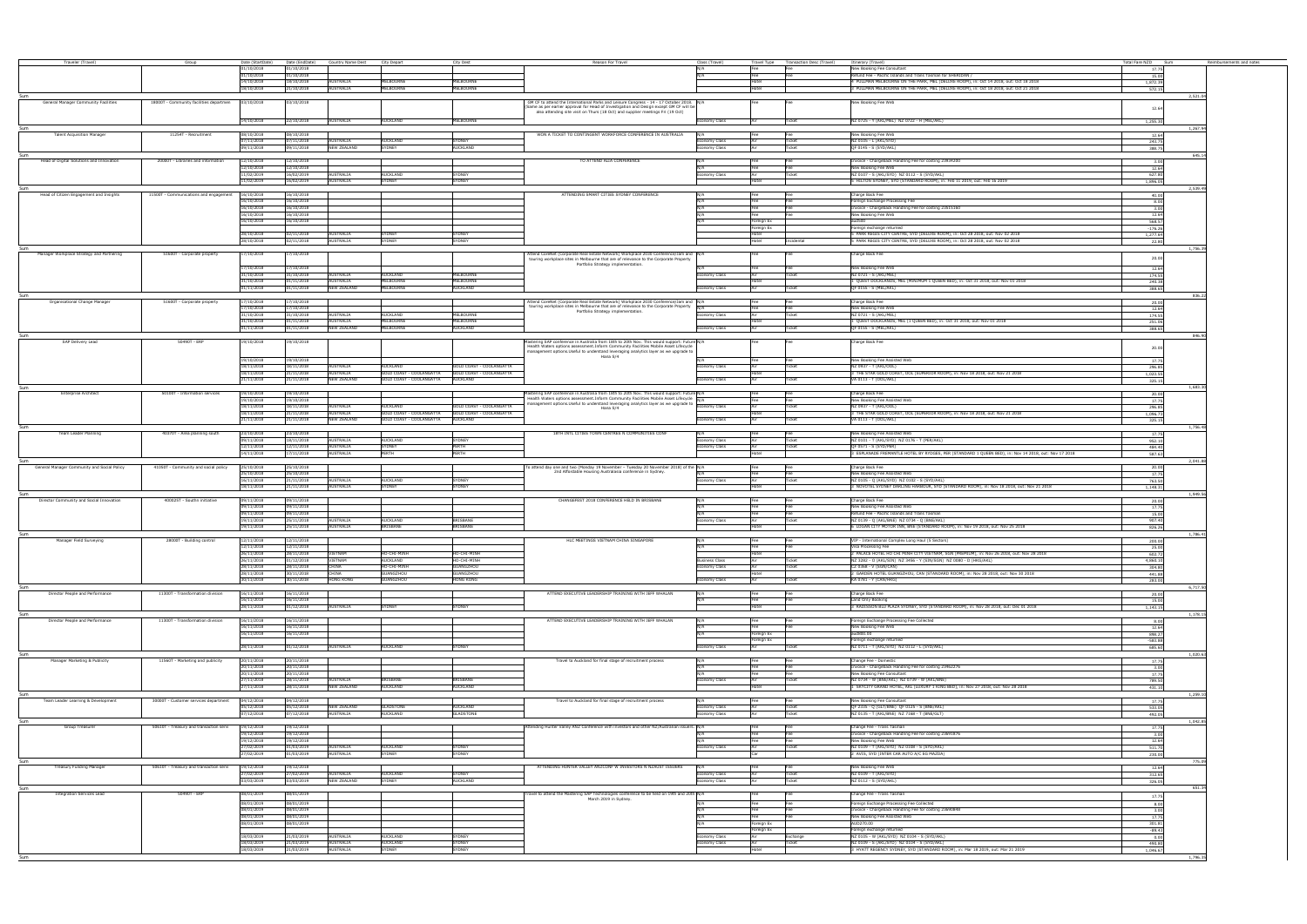| Traveler (Travel)                           | Group                                   | Date (StartDate)<br>01/10/2018    | Date (EndDate)<br>01/10/2018 | Country Name Dest City Depart   |                                                                      | City Dest                       | Reason For Travel                                                                                                                                                                            | Class (Travel)<br>N/A         | Fee                      | Travel Type Transaction Desc (Travel)<br>Fee | Itinerary (Travel)<br>New Booking Fee Consultant                                                        | Fotal Fare NZD Sum<br>17.75 | Reimbursements and notes |
|---------------------------------------------|-----------------------------------------|-----------------------------------|------------------------------|---------------------------------|----------------------------------------------------------------------|---------------------------------|----------------------------------------------------------------------------------------------------------------------------------------------------------------------------------------------|-------------------------------|--------------------------|----------------------------------------------|---------------------------------------------------------------------------------------------------------|-----------------------------|--------------------------|
|                                             |                                         | 01/10/2018                        | 01/10/2018                   |                                 |                                                                      |                                 |                                                                                                                                                                                              |                               | Fee                      | Fee                                          | Refund Fee - Pacific Islands and Trans Tasman for SHERIDAN /                                            | 15.00                       |                          |
|                                             |                                         | 14/10/2018                        | 18/10/2018                   | <b>AUSTRALIA</b>                | <b><i>IELBOURNE</i></b>                                              | MELBOURNE                       |                                                                                                                                                                                              |                               | Hotel                    |                                              | 4 PULLMAN MELBOURNE ON THE PARK, MEL (DELUXE ROOM), in: Oct 14 2018, out: Oct 18 2018                   | 1,872.39                    |                          |
|                                             |                                         | 18/10/2018                        | 21/10/2018                   | AUSTRALIA                       | MELBOURNE                                                            | MELBOURNE                       |                                                                                                                                                                                              |                               | Hotel                    |                                              | 3 PULLMAN MELBOURNE ON THE PARK, MEL (DELUXE ROOM), in: Oct 18 2018, out: Oct 21 2018                   | 572.15                      |                          |
|                                             |                                         |                                   |                              |                                 |                                                                      |                                 |                                                                                                                                                                                              |                               |                          |                                              |                                                                                                         | 2.521.0                     |                          |
| General Manager Community Facilities        | 18000T - Community facilities departmen | 03/10/2018                        | 03/10/2018                   |                                 |                                                                      |                                 | GM CF to attend the International Parks and Leisure Congress - 14 - 17 October 2018. N/A<br>(Same as per earlier approval for Head of Investigation and Design except GM CF will be          |                               |                          |                                              | New Booking Fee Web                                                                                     |                             |                          |
|                                             |                                         |                                   |                              |                                 |                                                                      |                                 | also attending site visit on Thurs (18 Oct) and supplier meetings Fri (19 Oct)                                                                                                               |                               |                          |                                              |                                                                                                         | 12.64                       |                          |
|                                             |                                         | 14/10/2018                        | 22/10/2018                   | AUSTRALIA                       | <b>AUCKLAND</b>                                                      | <b>MELBOURNE</b>                |                                                                                                                                                                                              | conomy Class                  |                          | Ticket                                       | NZ 0725 - Y (AKL/MEL) NZ 0722 - H (MEL/AKL)                                                             | 1,255.30                    |                          |
|                                             |                                         |                                   |                              |                                 |                                                                      |                                 |                                                                                                                                                                                              |                               |                          |                                              |                                                                                                         | 1.267.9                     |                          |
| <b>Talent Acquisition Manager</b>           | 11254T - Recruitment                    | 08/10/2018                        | 08/10/2018                   |                                 |                                                                      |                                 | WON A TICKET TO CONTINGENT WORKFORCE CONFERENCE IN AUSTRALIA                                                                                                                                 | N/A                           | Fee                      | l Fee                                        | New Booking Fee Web                                                                                     | 12.64                       |                          |
|                                             |                                         | 7/11/2018<br>09/11/2018           | 07/11/2018<br>09/11/2018     | AUSTRALIA<br><b>NEW ZEALAND</b> | AUCKLAND<br>SYDNEY                                                   | SYDNEY<br><b>AUCKLAND</b>       |                                                                                                                                                                                              | onomy Class<br>Economy Class  | Air<br>Air               | Ticket<br>Ticket                             | NZ 0105 - L (AKL/SYD)<br>QF 0145 - S (SYD/AKL)                                                          | 243.75<br>388.75            |                          |
|                                             |                                         |                                   |                              |                                 |                                                                      |                                 |                                                                                                                                                                                              |                               |                          |                                              |                                                                                                         | 645.1                       |                          |
| Head of Digital Solutions and Innovation    | 20000T - Libraries and information      | 12/10/2018                        | 12/10/2018                   |                                 |                                                                      |                                 | TO ATTEND ALIA CONFERENCE                                                                                                                                                                    | N/A                           | Fee                      | Fee                                          | Invoice - Chargeback Handling Fee for costing 23934200                                                  | 3.00                        |                          |
|                                             |                                         | 2/10/2018                         | 12/10/2018                   |                                 |                                                                      |                                 |                                                                                                                                                                                              |                               |                          | Fee                                          | New Booking Fee Web                                                                                     | 12.64                       |                          |
|                                             |                                         | 11/02/2019                        | 16/02/2019                   | <b>AUSTRALIA</b>                | AUCKLAND                                                             | SYDNEY                          |                                                                                                                                                                                              | onomy Class                   |                          | Ticket                                       | NZ 0107 - S (AKL/SYD) NZ 0112 - S (SYD/AKL)                                                             | 627.80                      |                          |
|                                             |                                         | 11/02/2019                        | 16/02/2019                   | AUSTRALIA                       | SYDNEY                                                               | SYDNEY                          |                                                                                                                                                                                              |                               | Hotel                    |                                              | 5 HILTON SYDNEY, SYD (STANDARD ROOM), in: Feb 11 2019, out: Feb 16 2019                                 | 1.896.05                    |                          |
| Head of Citizen Engagement and Insights     | 11500T - Communications and engagement  | 16/10/2018                        | 16/10/2018                   |                                 |                                                                      |                                 | ATTENDING SMART CITIES SYDNEY CONFERENCE                                                                                                                                                     | N/A                           |                          |                                              | Charge Back Fee                                                                                         | 2.539.49<br>40.00           |                          |
|                                             |                                         | 16/10/2018                        | 16/10/2018                   |                                 |                                                                      |                                 |                                                                                                                                                                                              |                               | Fee                      | Fee                                          | oreign Exchange Processing Fee                                                                          | 8.00                        |                          |
|                                             |                                         | 16/10/2018                        | 16/10/2018                   |                                 |                                                                      |                                 |                                                                                                                                                                                              |                               | Fee                      | Fee                                          | Invoice - Chargeback Handling Fee for costing 23515160                                                  | 3.00                        |                          |
|                                             |                                         | 16/10/2018<br>16/10/2018          | 16/10/2018<br>16/10/2018     |                                 |                                                                      |                                 |                                                                                                                                                                                              |                               |                          |                                              | New Booking Fee Web<br>and 500                                                                          | 12.64                       |                          |
|                                             |                                         |                                   |                              |                                 |                                                                      |                                 |                                                                                                                                                                                              |                               | Foreign Ex<br>Foreign Ex |                                              | oreign exchange returned                                                                                | 568.57<br>$-176.26$         |                          |
|                                             |                                         | 28/10/2018                        | 02/11/2018                   | AUSTRALIA                       | SYDNEY                                                               | <b>SYDNEY</b>                   |                                                                                                                                                                                              |                               | Hotel                    |                                              | PARK REGIS CITY CENTRE, SYD (DELUXE ROOM), in: Oct 28 2018, out: Nov 02 2018                            | 1,277.64                    |                          |
|                                             |                                         | 28/10/2018                        | 02/11/2018                   | AUSTRALIA                       | <b>SYDNEY</b>                                                        | <b>SYDNEY</b>                   |                                                                                                                                                                                              |                               | Hotel                    | Incidental                                   | PARK REGIS CITY CENTRE, SYD (DELUXE ROOM), in: Oct 28 2018, out: Nov 02 2018                            | 22.80                       |                          |
|                                             |                                         |                                   |                              |                                 |                                                                      |                                 |                                                                                                                                                                                              |                               |                          |                                              |                                                                                                         | 1.756.3                     |                          |
| Manager Workplace Strategy and Partnering   | 51600T - Corporate property             | 17/10/2018                        | 17/10/2018                   |                                 |                                                                      |                                 | Attend CoreNet (Corporate Real Estate Network) Workplace 2030 Conference/Jam and N/A<br>touring workplace sites in Melbourne that are of relevance to the Corporate Property                 |                               |                          |                                              | Charge Back Fee                                                                                         | 20.00                       |                          |
|                                             |                                         | 17/10/2018                        | 17/10/2018                   |                                 |                                                                      |                                 | Portfolio Strategy implementation.                                                                                                                                                           |                               | Fee                      |                                              | New Booking Fee Web                                                                                     |                             |                          |
|                                             |                                         | 31/10/2018                        | 31/10/2018                   | AUSTRALIA                       | <b>AUCKLAND</b>                                                      | MELBOURNE                       |                                                                                                                                                                                              | onomy Class                   |                          | Ticket                                       | NZ 0721 - S (AKL/MEL)                                                                                   | 12.64<br>174.55             |                          |
|                                             |                                         | 31/10/2018                        | 01/11/2018                   | AUSTRALIA                       | MELBOURNE                                                            | <b>MELBOURNE</b>                |                                                                                                                                                                                              |                               | Hotel                    |                                              | 1 QUEST DOCKLANDS, MEL (MINIMUM 1 QUEEN BED), in: Oct 31 2018, out: Nov 01 2018                         | 240.38                      |                          |
|                                             |                                         | 01/11/2018                        | 01/11/2018                   | NEW ZEALAND                     | MELBOURNE                                                            | AUCKLAND                        |                                                                                                                                                                                              | onomy Class                   | Air                      | Ticket                                       | OF 0155 - S (MEL/AKL)                                                                                   | 388.65                      |                          |
|                                             |                                         |                                   |                              |                                 |                                                                      |                                 |                                                                                                                                                                                              |                               |                          |                                              |                                                                                                         | 836.2                       |                          |
| Organisational Change Manage                | 51600T - Corporate property             | $\frac{7}{10/2018}$               | 17/10/2018                   |                                 |                                                                      |                                 | Attend CoreNet (Corporate Real Estate Network) Workplace 2030 Conference/Jam and N/A<br>touring workplace sites in Melbourne that are of relevance to the Corporate Property                 |                               |                          |                                              | Charge Back Fee<br>New Booking Fee Web                                                                  | 20.00<br>12.64              |                          |
|                                             |                                         | 1/10/2018                         | 31/10/2018                   | <b>AUSTRALIA</b>                | AUCKLAND                                                             | MELBOURNE                       | Portfolio Strategy implementation.                                                                                                                                                           | omy Class                     |                          | Ticket                                       | NZ 0721 - S (AKL/MEL)                                                                                   | 174.55                      |                          |
|                                             |                                         | 1/10/2018                         | 01/11/2018                   | <b>AUSTRALIA</b>                | MELBOURNE                                                            | MELBOURNE                       |                                                                                                                                                                                              |                               | Hote                     |                                              | QUEST DOCKLANDS, MEL (1 QUEEN BED), in: Oct 31 2018, out: Nov 01 2018                                   | 251.06                      |                          |
|                                             |                                         | /11/2018                          | 01/11/2018                   | <b>NEW ZEALAND</b>              | MELBOURNE                                                            | <b>AUCKLAND</b>                 |                                                                                                                                                                                              | omy Class                     |                          |                                              | QF 0155 - S (MEL/AKL)                                                                                   | 388.65                      |                          |
| Sum                                         | 50490T - ERI                            |                                   |                              |                                 |                                                                      |                                 |                                                                                                                                                                                              |                               |                          |                                              |                                                                                                         | 846.90                      |                          |
| <b>SAP Delivery Lead</b>                    |                                         | 19/10/2018                        | 19/10/2018                   |                                 |                                                                      |                                 | stering SAP conference in Australia from 18th to 20th Nov. This would support: Future N/A<br>Health Waters options assessment. Inform Community Facilities Mobile Asset Lifecycle            |                               |                          |                                              | Charge Back Fee                                                                                         | 20.00                       |                          |
|                                             |                                         |                                   |                              |                                 |                                                                      |                                 | management options. Useful to understand leveraging analytics layer as we upgrade to<br>Hana S/4                                                                                             |                               |                          |                                              |                                                                                                         |                             |                          |
|                                             |                                         | 19/10/2018                        | 19/10/2018                   |                                 |                                                                      |                                 |                                                                                                                                                                                              |                               | Fee                      | <b>Fee</b>                                   | New Booking Fee Assisted Web                                                                            | 17.75                       |                          |
|                                             |                                         | 18/11/2018<br>18/11/2018          | 18/11/2018<br>21/11/2018     | AUSTRALIA<br><b>AUSTRALIA</b>   | <b>AUCKLAND</b><br>GOLD COAST - COOLANGATTA GOLD COAST - COOLANGATTA | GOLD COAST - COOLANGATTA        |                                                                                                                                                                                              | conomy Class                  | Air<br>Hotel             | Ticket                                       | NZ 0937 - T (AKL/OOL)<br>3 THE STAR GOLD COAST, OOL (SUPERIOR ROOM), in: Nov 18 2018, out: Nov 21 2018  | 296.85                      |                          |
|                                             |                                         | 21/11/2018                        | 21/11/2018                   | <b>NEW ZEALAND</b>              | GOLD COAST - COOLANGATTA AUCKLAND                                    |                                 |                                                                                                                                                                                              | nomy Class                    | Air                      | Ticket                                       | VA 0113 - T (OOL/AKL)                                                                                   | 1,023.55<br>325.15          |                          |
|                                             |                                         |                                   |                              |                                 |                                                                      |                                 |                                                                                                                                                                                              |                               |                          |                                              |                                                                                                         | 1,683.3                     |                          |
| <b>Enterprise Architec</b>                  | 50100T - Information services           | 19/10/2018                        | 19/10/2018                   |                                 |                                                                      |                                 | tering SAP conference in Australia from 18th to 20th Nov. This would support: Future N/A                                                                                                     |                               |                          |                                              | Charge Back Fee                                                                                         | 20.00                       |                          |
|                                             |                                         | 19/10/2018<br>18/11/2018          | 19/10/2018<br>18/11/2018     | <b>AUSTRALIA</b>                | AUCKI AND                                                            | <b>GOLD COAST - COOLANGATTA</b> | Health Waters options assessment. Inform Community Facilities Mobile Asset Lifecycle $\overline{N/A}$<br>management options.Useful to understand leveraging analytics layer as we upgrade to | nomy Class                    |                          | Ticket                                       | New Booking Fee Assisted Web<br>NZ 0937 - T (AKL/OOL)                                                   | 17.75                       |                          |
|                                             |                                         | 18/11/2018                        | 21/11/2018                   | AUSTRALIA                       | GOLD COAST - COOLANGATTA GOLD COAST - COOLANGATTA                    |                                 | Hana S/4                                                                                                                                                                                     |                               | Hote                     |                                              | 3 THE STAR GOLD COAST, OOL (SUPERIOR ROOM), in: Nov 18 2018, out: Nov 21 2018                           | 296.85<br>1,096.73          |                          |
|                                             |                                         | 21/11/2018                        | 21/11/2018                   | <b>NEW ZEALAND</b>              | <b>GOLD COAST - COOLANGATTA</b>                                      | <b>AUCKLAND</b>                 |                                                                                                                                                                                              | omy Class                     |                          |                                              | VA 0113 - T (OOL/AKL)                                                                                   | 325.15                      |                          |
|                                             |                                         |                                   |                              |                                 |                                                                      |                                 |                                                                                                                                                                                              |                               |                          |                                              |                                                                                                         | 1.756.4                     |                          |
| Team Leader Planning                        | 40370T - Area planning south            | 23/10/2018                        | 23/10/2018                   |                                 |                                                                      |                                 | 18TH INTL CITIES TOWN CENTRES N COMMUNITIES CONF                                                                                                                                             |                               |                          |                                              | New Booking Fee Assisted Web                                                                            | 17.75                       |                          |
|                                             |                                         | 19/11/2018<br>12/11/2018          | 18/11/2018<br>12/11/2018     | <b>AUSTRALIA</b><br>AUSTRALIA   | AUCKLAND<br>SYDNEY                                                   | <b>YDNEY</b><br>PERTH           |                                                                                                                                                                                              | omy Class<br>omy Class        |                          | Ticket                                       | NZ 0101 - T (AKL/SYD) NZ 0176 - T (PER/AKL)<br>QF 0571 - S (SYD/PER)                                    | 952.10<br>484.40            |                          |
|                                             |                                         | 14/11/2018                        | 17/11/2018                   | AUSTRALIA                       | PERTH                                                                | PERTH                           |                                                                                                                                                                                              |                               | Hotel                    |                                              | 3 ESPLANADE FREMANTLE HOTEL BY RYDGES, PER (STANDARD 1 QUEEN BED), in: Nov 14 2018, out: Nov 17 2018    | 587.63                      |                          |
|                                             |                                         |                                   |                              |                                 |                                                                      |                                 |                                                                                                                                                                                              |                               |                          |                                              |                                                                                                         | 2.041.88                    |                          |
| General Manager Community and Social Policy | 41050T - Community and social policy    | 25/10/2018                        | 25/10/2018                   |                                 |                                                                      |                                 | To attend day one and two (Monday 19 November - Tuesday 20 November 2018) of the N/A<br>2nd Affordable Housing Australasia conference in Sydney.                                             |                               | Fee                      | Fee                                          | Charge Back Fee                                                                                         | 20.00                       |                          |
|                                             |                                         | 25/10/2018<br>16/11/2018          | 25/10/2018<br>21/11/2018     | AUSTRALIA                       | <b>AUCKLAND</b>                                                      | SYDNEY                          |                                                                                                                                                                                              | onomy Class                   | Fee<br>Air               | Fee<br>Ticket                                | New Booking Fee Assisted Web<br>NZ 0105 - Q (AKL/SYD) NZ 0102 - S (SYD/AKL)                             | 17.75<br>763.50             |                          |
|                                             |                                         | 18/11/2018                        | 21/11/2018                   | <b>AUSTRALIA</b>                | SYDNEY                                                               | SYDNEY                          |                                                                                                                                                                                              |                               | Hotel                    |                                              | MOVOTEL SYDNEY DARLING HARBOUR, SYD (STANDARD ROOM), in: Nov 18 2018, out: Nov 21 2018                  | 1,148.31                    |                          |
|                                             |                                         |                                   |                              |                                 |                                                                      |                                 |                                                                                                                                                                                              |                               |                          |                                              |                                                                                                         | 1.949.56                    |                          |
| Director Community and Social Innovation    | 400025T - Southn initiative             | 09/11/2018                        | 09/11/2018                   |                                 |                                                                      |                                 | CHANGEFEST 2018 CONFERENCE HELD IN BRISBANE                                                                                                                                                  |                               |                          |                                              | Charge Back Fee                                                                                         | 20.00                       |                          |
|                                             |                                         | 09/11/2018<br>09/11/2018          | 09/11/2018<br>09/11/2018     |                                 |                                                                      |                                 |                                                                                                                                                                                              |                               | Fee<br>Fee               | Fee<br>Fee                                   | lew Booking Fee Assisted Web<br>Refund Fee - Pacific Islands and Trans Tasman                           | 17.75                       |                          |
|                                             |                                         | 19/11/2018                        | 25/11/2018                   | AUSTRALIA                       | AUCKI AND                                                            | <b>BRISBANE</b>                 |                                                                                                                                                                                              | conomy Class                  |                          | Ticket                                       | (2 0139 - Q (AKL/BNE) NZ 0734 - Q (BNE/AKL)                                                             | 15.00<br>907.40             |                          |
|                                             |                                         | 19/11/2018                        | 25/11/2018                   | AUSTRALIA                       | <b>BRISBANE</b>                                                      | BRISBANE                        |                                                                                                                                                                                              |                               | Hotel                    |                                              | LOGAN CITY MOTOR INN, BNE (STANDARD ROOM), in: Nov 19 2018, out: Nov 25 2018                            | 826.26                      |                          |
|                                             |                                         |                                   |                              |                                 |                                                                      |                                 |                                                                                                                                                                                              |                               |                          |                                              |                                                                                                         | 1.786.4                     |                          |
| Manager Field Surveying                     | 28000T - Building control               | 12/11/2018<br>12/11/2018          | 12/11/2018<br>12/11/2018     |                                 |                                                                      |                                 | HLC MEETINGS VIETNAM CHINA SINGAPORE                                                                                                                                                         | N/A                           | Fee                      | Fee<br>Fee                                   | VIP - International Complex Long Haul (5 Sectors)<br>Visa Processing Fee                                | 200.00                      |                          |
|                                             |                                         | 26/11/2018                        | 28/11/2018                   | VIETNAM                         | HO-CHI-MINH                                                          | HO-CHI-MINH                     |                                                                                                                                                                                              |                               | Hotel                    |                                              | PALACE HOTEL HO CHI MINH CITY VIETNAM, SGN (PREMIUM), in: Nov 26 2018, out: Nov 28 2018                 | 25.00<br>602.72             |                          |
|                                             |                                         | 26/11/2018                        | 01/12/2018                   | VIETNAM                         | auckland                                                             | HO-CHI-MINH                     |                                                                                                                                                                                              | <b>Business Class</b>         |                          | Ticket                                       | NZ 3282 - O (AKL/SIN) NZ 3456 - Y (SIN/SGN) NZ 0080 - D (HKG/AKL)                                       | 4,860.10                    |                          |
|                                             |                                         | 28/11/2018                        | 28/11/2018                   | CHINA                           | HO-CHI-MINH                                                          | GUANGZHOU                       |                                                                                                                                                                                              | nomy Class                    |                          | Ticket                                       | CZ 0368 - V (SGN/CAN)                                                                                   | 304.80                      |                          |
|                                             |                                         | 28/11/2018<br>30/11/2018          | 30/11/2018<br>30/11/2018     | CHINA<br><b>HONG KONG</b>       | <b>SUANGZHOU</b><br>GUANGZHOU                                        | GUANGZHOU<br><b>HONG KONG</b>   |                                                                                                                                                                                              | nomy Class                    | Hote                     | Ticket                                       | GARDEN HOTEL GUANGZHOU, CAN (STANDARD ROOM), in: Nov 28 2018, out: Nov 30 2018<br>KA 0781 - Y (CAN/HKG) | 441.88<br>283.00            |                          |
| Sum                                         |                                         |                                   |                              |                                 |                                                                      |                                 |                                                                                                                                                                                              |                               |                          |                                              |                                                                                                         | 6.717.5                     |                          |
| Director People and Performance             | 11300T - Transformation division        | 16/11/2018                        | 16/11/2018                   |                                 |                                                                      |                                 | ATTEND EXECUTIVE LEADERSHIP TRAINING WITH JEFF WHALAN                                                                                                                                        | N/A                           |                          |                                              | Charge Back Fee                                                                                         | 20.00                       |                          |
|                                             |                                         | 16/11/2018                        | 16/11/2018                   |                                 |                                                                      |                                 |                                                                                                                                                                                              | N/A                           | Fee                      | Fee                                          | Land Only Booking                                                                                       | 15.00                       |                          |
|                                             |                                         | 28/11/2018                        | 01/12/2018 AUSTRALIA         |                                 | SYDNEY                                                               | SYDNEY                          |                                                                                                                                                                                              |                               | Hotel                    |                                              | 3 RADISSON BLU PLAZA SYDNEY, SYD (STANDARD ROOM), in: Nov 28 2018, out: Dec 01 2018                     | 1.143.15                    |                          |
| Director People and Performance             | 11300T - Transformation division        | 16/11/2018                        | 16/11/2018                   |                                 |                                                                      |                                 | ATTEND EXECUTIVE LEADERSHIP TRAINING WITH JEFF WHALAN                                                                                                                                        | N/A                           |                          |                                              | Foreign Exchange Processing Fee Collected                                                               | 1,178.1<br>8.00             |                          |
|                                             |                                         | 16/11/2018                        | 16/11/2018                   |                                 |                                                                      |                                 |                                                                                                                                                                                              |                               |                          |                                              | New Booking Fee Web                                                                                     | 12.64                       |                          |
|                                             |                                         | 16/11/2018                        | 16/11/2018                   |                                 |                                                                      |                                 |                                                                                                                                                                                              |                               | Foreign Ex               |                                              | aud800.00                                                                                               | 898.27                      |                          |
|                                             |                                         | 28/11/2018                        | 01/12/2018                   | AUSTRALIA                       | AUCKLAND                                                             | <b>SYDNEY</b>                   |                                                                                                                                                                                              | nomy Class                    | Foreign Ex               |                                              | Foreign exchange returned<br>NZ 0711 - T (AKL/SYD) NZ 0112 - L (SYD/AKL)                                | $-583.88$<br>685.60         |                          |
|                                             |                                         |                                   |                              |                                 |                                                                      |                                 |                                                                                                                                                                                              |                               |                          |                                              |                                                                                                         | 1.020.6                     |                          |
| Manager Marketing & Publicity               | 11560T - Marketing and publicity        | 20/11/2018                        | 20/11/2018                   |                                 |                                                                      |                                 | Fravel to Auckland for final stage of recruitment process                                                                                                                                    |                               |                          |                                              | Change Fee - Domestic                                                                                   | 17.75                       |                          |
|                                             |                                         | 20/11/2018                        | 20/11/2018                   |                                 |                                                                      |                                 |                                                                                                                                                                                              |                               |                          | Fee                                          | nvoice - Chargeback Handling Fee for costing 23462276                                                   | 3.00                        |                          |
|                                             |                                         | 20/11/2018<br>$\frac{7}{11/2018}$ | 20/11/2018<br>28/11/2018     | <b>AUSTRALIA</b>                | BRISBANE                                                             | <b>BRISBANE</b>                 |                                                                                                                                                                                              | nomy Class                    |                          | Fee<br>Ticket                                | New Booking Fee Consultant<br>NZ 0734 - W (BNE/AKL) NZ 0739 - W (AKL/BNE)                               | 17.75<br>789.50             |                          |
|                                             |                                         | $\frac{7}{11/2018}$               | 28/11/2018                   | <b>NEW ZEALAND</b>              | <b>AUCKLAND</b>                                                      | <b>AUCKLAND</b>                 |                                                                                                                                                                                              |                               | Hotel                    |                                              | 1 SKYCITY GRAND HOTEL, AKL (LUXURY 1 KING BED), in: Nov 27 2018, out: Nov 28 2018                       | 431.10                      |                          |
|                                             |                                         |                                   |                              |                                 |                                                                      |                                 |                                                                                                                                                                                              |                               |                          |                                              |                                                                                                         | 1.259.10                    |                          |
| Team Leader Learning & Development          | 30000T - Customer services department   | 04/12/2018                        | 04/12/2018                   |                                 |                                                                      |                                 | Travel to Auckland for final stage of recruitment process                                                                                                                                    |                               | Fee                      | Fee                                          | New Booking Fee Consultant                                                                              | 17.75                       |                          |
|                                             |                                         | 05/12/2018<br>07/12/2018          | 05/12/2018<br>07/12/2018     | <b>NEW ZEALAND</b><br>AUSTRALIA | <b>GLADSTONE</b><br>AUCKLAND                                         | <b>AUCKLAND</b><br>GLADSTONE    |                                                                                                                                                                                              | conomy Class<br>Economy Class | Air                      | Ticket<br>Ticket                             | QF 2335 - Q (GLT/BNE) QF 0125 - S (BNE/AKL)<br>NZ 0135 - T (AKL/BNE) NZ 7168 - T (BNE/GLT)              | 533.05<br>492.05            |                          |
|                                             |                                         |                                   |                              |                                 |                                                                      |                                 |                                                                                                                                                                                              |                               |                          |                                              |                                                                                                         | 1,042.8                     |                          |
| Group Treasurer                             | 50610T - Treasury and transaction servi | 19/12/2018                        | 19/12/2018                   |                                 |                                                                      |                                 | Attending Hunter Valley ANZ Conference with investors and other NZ/Australian issuers. N/A                                                                                                   |                               | Fee                      |                                              | Change Fee - Trans Tasman                                                                               | 17.75                       |                          |
|                                             |                                         | 19/12/2018                        | 19/12/2018                   |                                 |                                                                      |                                 |                                                                                                                                                                                              |                               | Fee                      | Fee                                          | Invoice - Chargeback Handling Fee for costing 23691876                                                  | 3.00                        |                          |
|                                             |                                         | 19/12/2018<br>27/02/2019          | 19/12/2018<br>01/03/2019     |                                 | AUCKLAND                                                             | SYDNEY                          |                                                                                                                                                                                              | N/A                           | Fee                      | Fee<br>Ticket                                | New Booking Fee Web<br>NZ 0109 - T (AKL/SYD) NZ 0108 - S (SYD/AKL)                                      | 12.64                       |                          |
|                                             |                                         | 7/02/2019                         | 01/03/2019                   | AUSTRALIA<br>AUSTRALIA          | SYDNEY                                                               | <b>SYDNEY</b>                   |                                                                                                                                                                                              | conomy Class                  | Air                      |                                              | 2 AVIS, SYD (INTER CAR AUTO A/C EG MAZDA)                                                               | 511.70<br>230.00            |                          |
|                                             |                                         |                                   |                              |                                 |                                                                      |                                 |                                                                                                                                                                                              |                               |                          |                                              |                                                                                                         | 775.0                       |                          |
| Treasury Funding Manager                    | 50610T - Treasury and transaction servi | 19/12/2018                        | 19/12/2018                   |                                 |                                                                      |                                 | ATTENDING HUNTER VALLEY ANZCONF W INVESTORS N NZAUST ISSUERS                                                                                                                                 | N/A                           | Fee                      | Fee                                          | New Booking Fee Web                                                                                     | 12.64                       |                          |
|                                             |                                         | 27/02/2019                        | 27/02/2019                   | AUSTRALIA                       | AUCKLAND                                                             | <b>SYDNEY</b>                   |                                                                                                                                                                                              | conomy Class                  |                          | Ticket                                       | NZ 0109 - T (AKL/SYD)                                                                                   | 312.65                      |                          |
|                                             |                                         | 03/03/2019                        | 03/03/2019                   | NEW ZEALAND                     | SYDNEY                                                               | <b>AUCKLAND</b>                 |                                                                                                                                                                                              | Economy Class                 |                          | Ticket                                       | NZ 0112 - S (SYD/AKL)                                                                                   | 326.05                      |                          |
| <b>Integration Services Lead</b>            | 50490T - ERP                            | 08/01/2019                        | 08/01/2019                   |                                 |                                                                      |                                 | ravel to attend the Mastering SAP Technologies conference to be held on 19th and 20th N/A                                                                                                    |                               |                          |                                              | Change Fee - Trans Tasman                                                                               | 651.                        |                          |
|                                             |                                         | 08/01/2019                        | 08/01/2019                   |                                 |                                                                      |                                 | March 2019 in Sydney.                                                                                                                                                                        |                               |                          |                                              | Foreign Exchange Processing Fee Collected                                                               | 17.75                       |                          |
|                                             |                                         | 08/01/2019                        | 08/01/2019                   |                                 |                                                                      |                                 |                                                                                                                                                                                              |                               | Fee                      | Fee                                          | nvoice - Chargeback Handling Fee for costing 23690848                                                   | 8.00<br>3.00                |                          |
|                                             |                                         | 08/01/2019                        | 08/01/2019                   |                                 |                                                                      |                                 |                                                                                                                                                                                              | N/A                           | Fee                      | Fee                                          | New Booking Fee Assisted Web                                                                            | 17.75                       |                          |
|                                             |                                         | 08/01/2019                        | 08/01/2019                   |                                 |                                                                      |                                 |                                                                                                                                                                                              | N/A                           | Foreign Ex               |                                              | AUD270.00                                                                                               | 301.81                      |                          |
|                                             |                                         | 18/03/2019                        | 21/03/2019                   | AUSTRALIA                       | <b>NUCKLAND</b>                                                      | <b>SYDNEY</b>                   |                                                                                                                                                                                              | nomy Class                    | Foreign Ex               | Exchange                                     | oreign exchange returned<br>4Z 0105 - W (AKL/SYD) NZ 0104 - S (SYD/AKL)                                 | $-89.43$                    |                          |
|                                             |                                         | 18/03/2019                        | 21/03/2019                   | AUSTRALIA                       | AUCKLAND                                                             | SYDNEY                          |                                                                                                                                                                                              | nomy Class                    |                          | Ticket                                       | NZ 0109 - S (AKL/SYD) NZ 0104 - S (SYD/AKL)                                                             | 0.00<br>490.80              |                          |
|                                             |                                         | 18/03/2019                        | 21/03/2019                   | AUSTRALIA                       | SYDNEY                                                               | SYDNEY                          |                                                                                                                                                                                              |                               | Hotel                    |                                              | 3 HYATT REGENCY SYDNEY, SYD (STANDARD ROOM), in: Mar 18 2019, out: Mar 21 2019                          | 1,046.67                    |                          |
|                                             |                                         |                                   |                              |                                 |                                                                      |                                 |                                                                                                                                                                                              |                               |                          |                                              |                                                                                                         | 1,796.35                    |                          |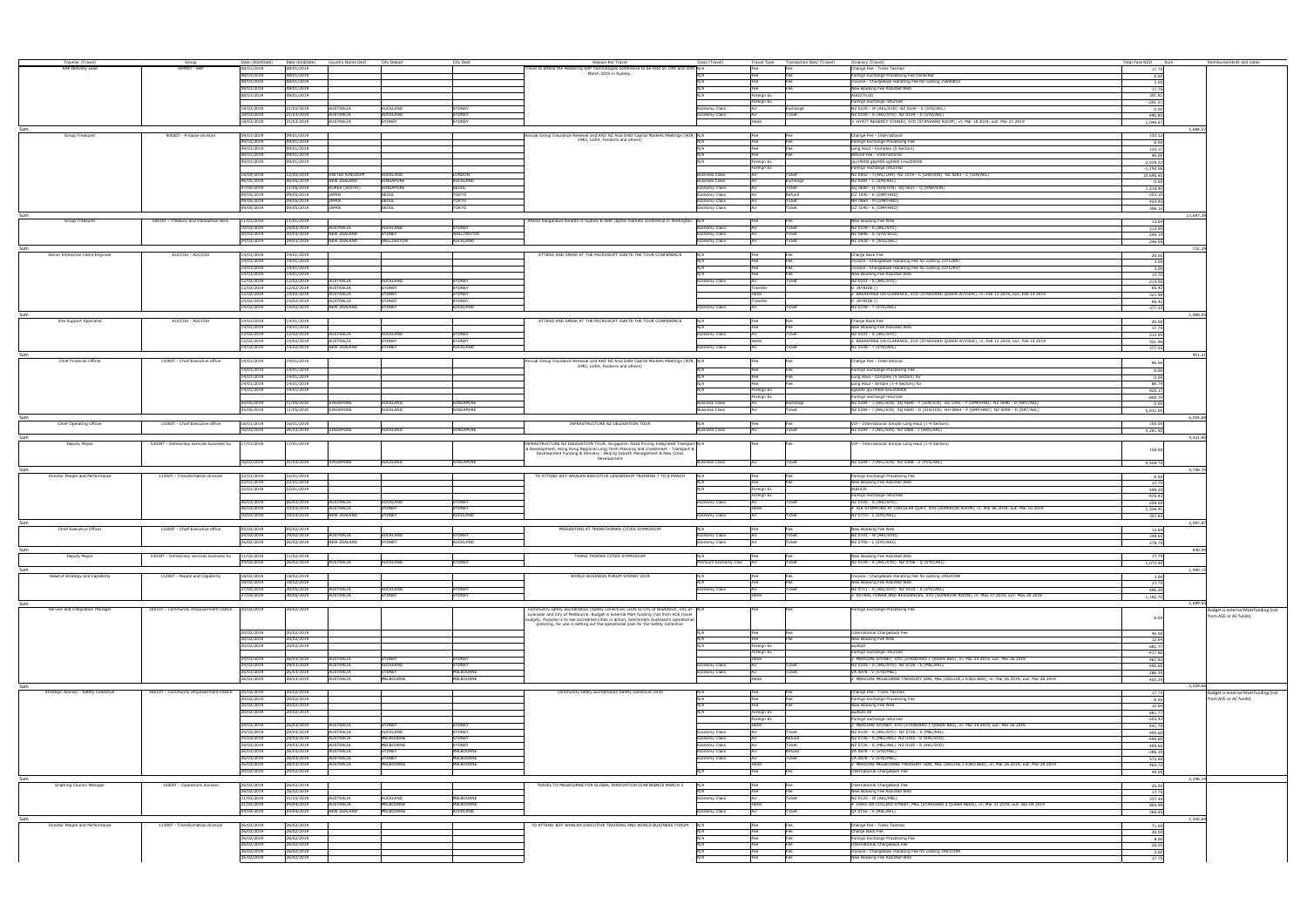| Traveler (Travel)<br>SAP Delivery Lead |                                                 |                                |                              |                               |                              |                        |                                                                                                                                                                            |                             |                          |                                              |                                                                                                                   | Total Fare NZD Sum  |                                    |
|----------------------------------------|-------------------------------------------------|--------------------------------|------------------------------|-------------------------------|------------------------------|------------------------|----------------------------------------------------------------------------------------------------------------------------------------------------------------------------|-----------------------------|--------------------------|----------------------------------------------|-------------------------------------------------------------------------------------------------------------------|---------------------|------------------------------------|
|                                        | Group                                           | Date (StartDate)<br>08/01/2019 | Date (EndDate)<br>08/01/2019 | Country Name Dest City Depart |                              | City Dest              | Reason For Travel<br>ravel to attend the Mastering SAP Technologies conference to be held on 19th and 20th N/A                                                             | Class (Travel)              | Fee                      | Travel Type Transaction Desc (Travel)<br>Fee | Itinerary (Travel)<br>Change Fee - Trans Tasman                                                                   | 17.75               | Reimbursements and notes           |
|                                        |                                                 | 08/01/2019                     | 08/01/2019                   |                               |                              |                        | March 2019 in Sydney.                                                                                                                                                      |                             | Fee                      |                                              | Foreign Exchange Processing Fee Collected                                                                         | 8.00                |                                    |
|                                        |                                                 | 08/01/2019                     | 08/01/2019                   |                               |                              |                        |                                                                                                                                                                            |                             |                          |                                              | nvoice - Chargeback Handling Fee for costing 23690810                                                             | 3.00                |                                    |
|                                        |                                                 | 08/01/2019                     | 08/01/2019                   |                               |                              |                        |                                                                                                                                                                            |                             |                          |                                              | New Booking Fee Assisted Web                                                                                      | 17.7                |                                    |
|                                        |                                                 | 08/01/2019                     | 08/01/2019                   |                               |                              |                        |                                                                                                                                                                            |                             | Foreign Ex               |                                              | AUD270.00                                                                                                         | 301.81              |                                    |
|                                        |                                                 |                                |                              |                               |                              |                        |                                                                                                                                                                            |                             | Foreign Ex               |                                              | Foreign exchange returned                                                                                         | $-201.21$           |                                    |
|                                        |                                                 | 18/03/2019                     | 21/03/2019                   | AUSTRALIA                     | AUCKLAND                     | SYDNEY                 |                                                                                                                                                                            | conomy Class                |                          | Exchange                                     | NZ 0105 - W (AKL/SYD) NZ 0104 - S (SYD/AKL)                                                                       | 0.00                |                                    |
|                                        |                                                 | 18/03/2019                     | 21/03/2019                   | AUSTRALIA                     | AUCKLAND                     | <b>SYDNEY</b>          |                                                                                                                                                                            | nomy Class                  |                          |                                              | NZ 0109 - S (AKL/SYD) NZ 0104 - S (SYD/AKL)                                                                       | 490.80              |                                    |
|                                        |                                                 | 18/03/2019                     | 21/03/2019                   | AUSTRALIA                     | SYDNEY                       | <b>SYDNEY</b>          |                                                                                                                                                                            |                             |                          |                                              | 3 HYATT REGENCY SYDNEY, SYD (STANDARD ROOM), in: Mar 18 2019, out: Mar 21 2019                                    | 1.046.67            |                                    |
| Sum                                    | 50000T - Finance division                       | 09/01/2019                     |                              |                               |                              |                        |                                                                                                                                                                            |                             |                          |                                              | Change Fee - International                                                                                        | 1.684.5             |                                    |
| Group Treasurer                        |                                                 | 09/01/2019                     | 09/01/2019<br>09/01/2019     |                               |                              |                        | Annual Group Insurance Renewal and ANZ NZ Asia Debt Capital Markets Meetings (WIR, N/A<br>DMO, LGFA, Fonterra and others)                                                  |                             | Fee<br>Fee               | Fee<br>Fee                                   | Foreign Exchange Processing Fee                                                                                   | 133.12              |                                    |
|                                        |                                                 | 09/01/2019                     | 09/01/2019                   |                               |                              |                        |                                                                                                                                                                            | N/A                         | Fee                      | Fee                                          | Long Haul - Complex (5 Sectors)                                                                                   | 8.00                |                                    |
|                                        |                                                 | 09/01/2019                     | 09/01/2019                   |                               |                              |                        |                                                                                                                                                                            | N/A                         | Fee                      | Fee                                          | Refund Fee - International                                                                                        | 133.11<br>40.00     |                                    |
|                                        |                                                 | 09/01/2019                     | 09/01/2019                   |                               |                              |                        |                                                                                                                                                                            | N/A                         | Foreign Ex               |                                              | jpy19000 qbp400 sqd500 krw200000                                                                                  | 2,035.32            |                                    |
|                                        |                                                 |                                |                              |                               |                              |                        |                                                                                                                                                                            |                             | Foreian Ex               |                                              | Foreign exchange returned                                                                                         | $-1,150.56$         |                                    |
|                                        |                                                 | 16/04/2019                     | 12/05/2019                   | UNITED KINGDOM                | AUCKLAND                     | LONDON                 |                                                                                                                                                                            | <b>Business Class</b>       |                          | Ticke                                        | NZ 0002 - J (AKL/LHR) NZ 3319 - C (LHR/SIN) NZ 0283 - C (SIN/AKL)                                                 | 10,690.60           |                                    |
|                                        |                                                 | 06/05/2019                     | 06/05/2019                   | <b>NEW ZEALAND</b>            | SINGAPORE                    | <b>AUCKLAND</b>        |                                                                                                                                                                            | <b>Business Class</b>       |                          | Exchange                                     | NZ 0281 - C (SIN/AKL)                                                                                             | 0.00                |                                    |
|                                        |                                                 | 07/05/2019                     | 11/05/2019                   | KOREA (SOUTH)                 | SINGAPORE                    | <b>SEOUL</b>           |                                                                                                                                                                            | Economy Class               |                          | Ticket                                       | SQ 0600 - Q (SIN/ICN) SQ 0631 - Q (HND/SIN)                                                                       | 1,210.40            |                                    |
|                                        |                                                 | 09/05/2019                     | 09/05/2019                   | <b>JAPAN</b>                  | <b>SEOUL</b>                 | TOKYO                  |                                                                                                                                                                            | Economy Class               |                          | Refund                                       | OZ 1045 - K (GMP/HND)                                                                                             | $-253.10$           |                                    |
|                                        |                                                 | 09/05/2019                     | 09/05/2019                   | <b>JAPAN</b>                  | SEOUL                        | TOKYO                  |                                                                                                                                                                            | Economy Class               |                          | Ticke                                        | NH 0864 - M (GMP/HND)                                                                                             | 454.40              |                                    |
|                                        |                                                 | 09/05/2019                     | 09/05/2019                   | <b>JAPAN</b>                  | SEOUL                        | TOKYO                  |                                                                                                                                                                            | nomv Class                  |                          | Ticket                                       | OZ 1045 - K (GMP/HND)                                                                                             | 396.10              |                                    |
| Sum                                    |                                                 |                                |                              |                               |                              |                        |                                                                                                                                                                            |                             |                          |                                              |                                                                                                                   | 13,697.3            |                                    |
| Group Treasure                         | 50610T - Treasury and transaction servi         | 1/01/2019<br>19/03/2019        | 1/01/2019<br>19/03/2019      | <b>AUSTRALIA</b>              | <b>AUCKLAND</b>              | <b>YDNEY</b>           | Attend Kanganews Awards in Sydney & debt capital markets conference in Wellington N/A                                                                                      |                             |                          |                                              | New Booking Fee Web<br>NZ 0109 - S (AKL/SYD)                                                                      | 12.64               |                                    |
|                                        |                                                 | 20/03/2019                     | 20/03/2019                   | <b>NEW ZEALAND</b>            | <b>SYDNEY</b>                | <b>WELLINGTON</b>      |                                                                                                                                                                            | nomy Class<br>Economy Class |                          | icke                                         | NZ 0846 - S (SYD/WLG)                                                                                             | 213.95<br>249.14    |                                    |
|                                        |                                                 | 24/03/2019                     | 24/03/2019                   | <b>NEW ZEALAND</b>            | <b>WELLINGTON</b>            | <b>AUCKLAND</b>        |                                                                                                                                                                            | nomy Class                  |                          | icke                                         | NZ 0428 - V (WLG/AKL)                                                                                             | 246.56              |                                    |
|                                        |                                                 |                                |                              |                               |                              |                        |                                                                                                                                                                            |                             |                          |                                              |                                                                                                                   | 722.2               |                                    |
| Senior Enterprise Client Engineer      | AUCCOU - AUCCOL                                 | 14/01/2019                     | 14/01/2019                   |                               |                              |                        | ATTEND AND SPEAK AT THE MICROSOFT IGNITE THE TOUR CONFERENCE                                                                                                               |                             |                          |                                              | Charge Back Fee                                                                                                   | 20.00               |                                    |
|                                        |                                                 | 14/01/2019                     | 14/01/2019                   |                               |                              |                        |                                                                                                                                                                            |                             |                          |                                              | voice - Chargeback Handling Fee for costing 23712897                                                              | 3.00                |                                    |
|                                        |                                                 | 14/01/2019                     | 14/01/2019                   |                               |                              |                        |                                                                                                                                                                            |                             |                          |                                              | voice - Chargeback Handling Fee for costing 23712937                                                              | 3.00                |                                    |
|                                        |                                                 | 14/01/2019                     | 14/01/2019                   |                               |                              |                        |                                                                                                                                                                            |                             |                          |                                              | New Booking Fee Assisted Web                                                                                      | 17.75               |                                    |
|                                        |                                                 | 12/02/2019                     | 12/02/2019                   | <b>AUSTRALIA</b>              | AUCKLAND                     | <b>YDNEY</b>           |                                                                                                                                                                            | Economy Class               |                          |                                              | NZ 0101 - S (AKL/SYD)                                                                                             | 213.95              |                                    |
|                                        |                                                 | 12/02/2019                     | 12/02/2019                   | AUSTRALIA                     | SYDNEY                       | SYDNEY                 |                                                                                                                                                                            |                             | Fransfer                 |                                              | 0 JAYRIDE ()                                                                                                      | 65.42               |                                    |
|                                        |                                                 | 12/02/2019                     | 14/02/2019                   | <b>AUSTRALIA</b>              | YDNEY                        | <b>SYDNEY</b>          |                                                                                                                                                                            |                             | lote                     |                                              | 2 BREAKFREE ON CLARENCE, SYD (STANDARD QUEEN W/VIEW), in: Feb 12 2019, out: Feb 14 2019                           | 321.96              |                                    |
|                                        |                                                 | 14/02/2019                     | 14/02/2019                   | AUSTRALIA                     | SYDNEY                       | <b>SYDNEY</b>          |                                                                                                                                                                            |                             | ransfer                  |                                              | 0 JAYRIDE (                                                                                                       | 65.42               |                                    |
|                                        |                                                 | 14/02/2019                     | 14/02/2019                   | <b>NEW ZEALAND</b>            | SYDNEY                       | <b>AUCKLAND</b>        |                                                                                                                                                                            | nomy Class                  |                          |                                              | NZ 0108 - T (SYD/AKL)                                                                                             | 377.55              |                                    |
|                                        |                                                 |                                |                              |                               |                              |                        |                                                                                                                                                                            |                             |                          |                                              |                                                                                                                   | 1.088.0             |                                    |
| Site Support Specialist                | AUCCOU - AUCCOU                                 | 14/01/2019                     | 14/01/2019                   |                               |                              |                        | ATTEND AND SPEAK AT THE MICROSOFT IGNITE THE TOUR CONFERENCE                                                                                                               | N/A                         | Fee                      | Fee                                          | Charge Back Fee<br>New Booking Fee Assisted Web                                                                   | 20.00               |                                    |
|                                        |                                                 | 14/01/2019<br>12/02/2019       | 14/01/2019<br>12/02/2019     | AUSTRALIA                     | AUCKLAND                     | <b>SYDNEY</b>          |                                                                                                                                                                            | Economy Class               | Fee<br>Air               | Fee<br>Ticket                                | NZ 0101 - S (AKL/SYD)                                                                                             | 17.75<br>213.95     |                                    |
|                                        |                                                 | 12/02/2019                     | 14/02/2019                   | <b>AUSTRALIA</b>              | <b>SYDNEY</b>                | SYDNEY                 |                                                                                                                                                                            |                             | Hotel                    |                                              | 2 BREAKFREE ON CLARENCE, SYD (STANDARD QUEEN W/VIEW), in: Feb 12 2019, out: Feb 14 2019                           | 321.96              |                                    |
|                                        |                                                 | 14/02/2019                     | 14/02/2019                   | <b>NEW ZEALAND</b>            | SYDNEY                       | <b>AUCKLAND</b>        |                                                                                                                                                                            | Economy Class               | Air                      | Ticket                                       | NZ 0108 - T (SYD/AKL)                                                                                             | 377.55              |                                    |
|                                        |                                                 |                                |                              |                               |                              |                        |                                                                                                                                                                            |                             |                          |                                              |                                                                                                                   | 951.21              |                                    |
| Chief Financial Officer                | 11000T - Chief Executive office                 | 14/01/2019                     | 14/01/2019                   |                               |                              |                        | Annual Group Insurance Renewal and ANZ NZ Asia Debt Capital Markets Meetings (WIR, N/A                                                                                     |                             |                          |                                              | Change Fee - International                                                                                        |                     |                                    |
|                                        |                                                 | 14/01/2019                     | 14/01/2019                   |                               |                              |                        | DMO, LGFA, Fonterra and others)                                                                                                                                            |                             |                          |                                              |                                                                                                                   | 66.56               |                                    |
|                                        |                                                 | 14/01/2019                     | 14/01/2019                   |                               |                              |                        |                                                                                                                                                                            |                             | Fee                      | Fee                                          | Foreign Exchange Processing Fee                                                                                   | 8.00                |                                    |
|                                        |                                                 | 14/01/2019                     | 14/01/2019                   |                               |                              |                        |                                                                                                                                                                            |                             | Fee                      | Fee                                          | Long Haul - Complex (5 Sectors) for<br>Long Haul - Simple (1-4 Sectors) for                                       | 0.00<br>88.74       |                                    |
|                                        |                                                 | 14/01/2019                     | 14/01/2019                   |                               |                              |                        |                                                                                                                                                                            |                             | Foreign Ex               |                                              | sqd200 jpy19000 krw200000                                                                                         | 820.17              |                                    |
|                                        |                                                 |                                |                              |                               |                              |                        |                                                                                                                                                                            |                             | Foreign Ex               |                                              | Foreign exchange returned                                                                                         | $-809.79$           |                                    |
|                                        |                                                 | 05/05/2019                     | 11/05/2019                   | SINGAPORE                     | <b>AUCKLAND</b>              | <b>SINGAPORE</b>       |                                                                                                                                                                            | <b>Business Class</b>       |                          | Exchange                                     | NZ 0284 - J (AKL/SIN) SQ 0600 - Y (SIN/ICN) OZ 1045 - Y (GMP/HND) NZ 0090 - D (NRT/AKL)                           | 0.00                |                                    |
|                                        |                                                 | 05/05/2019                     | 11/05/2019                   | SINGAPORE                     | AUCKLAND                     | SINGAPORE              |                                                                                                                                                                            | <b>Business Class</b>       |                          | Ticket                                       | NZ 0284 - J (AKL/SIN) SQ 0600 - D (SIN/ICN) NH 0864 - P (GMP/HND) NZ 0090 - D (NRT/AKL)                           | 5.831.00            |                                    |
|                                        |                                                 |                                |                              |                               |                              |                        |                                                                                                                                                                            |                             |                          |                                              |                                                                                                                   | 6.004.6             |                                    |
| Chief Operating Officer                | 11000T - Chief Executive office                 | 16/01/2019                     | 16/01/2019                   |                               |                              |                        | INFRASTRUCTURE NZ DELEGATION TOUR                                                                                                                                          |                             | Fee                      | Fee                                          | VIP - International Simple Long Haul (1-4 Sectors)                                                                | 150.00              |                                    |
|                                        |                                                 | 16/03/2019                     | 24/03/2019                   | SINGAPORE                     | AUCKLAND                     | SINGAPORE              |                                                                                                                                                                            | <b>Business Class</b>       | Air                      | Ticket                                       | NZ 0284 - J (AKL/SIN) NZ 0080 - J (HKG/AKL)                                                                       | 4,281.90            |                                    |
|                                        |                                                 |                                |                              |                               |                              |                        |                                                                                                                                                                            |                             |                          |                                              |                                                                                                                   | 4,431.90            |                                    |
| Deputy Mayor                           | 53030T - Democracy services business hu         | 7/01/2019                      | //01/2019                    |                               |                              |                        | FRASTRUCTURE NZ DELEGATION TOUR. Singapore. Road Pricing Integrated Transport N/A                                                                                          |                             |                          |                                              | /IP - International Simple Long Haul (1-4 Sectors)                                                                |                     |                                    |
|                                        |                                                 |                                |                              |                               |                              |                        | & Development. Hong Kong Regional Long Term Planning and Investment - Transport &<br>Development Funding & Delivery - Beijing Growth Management & New Cities               |                             |                          |                                              |                                                                                                                   | 150.00              |                                    |
|                                        |                                                 | 16/03/2019                     | 31/03/2019                   | SINGAPORE                     | AUCKLAND                     | SINGAPORE              | Development                                                                                                                                                                |                             |                          |                                              | NZ 0284 - J (AKL/SIN) NZ 0288 - Z (PVG/AKL)                                                                       |                     |                                    |
|                                        |                                                 |                                |                              |                               |                              |                        |                                                                                                                                                                            | <b>Business Class</b>       |                          | Ticket                                       |                                                                                                                   | 4.558.70            |                                    |
| Director People and Performance        | 11300T - Transformation division                | 22/01/2019                     | 22/01/2019                   |                               |                              |                        | TO ATTEND JEFF WHALAN EXECUTIVE LEADERSHIP TRAINING 7 TO 8 MARCH                                                                                                           |                             | Fee                      |                                              | Foreign Exchange Processing Fee                                                                                   | 4.708.7             |                                    |
|                                        |                                                 | 22/01/2019                     | 22/01/2019                   |                               |                              |                        |                                                                                                                                                                            |                             |                          |                                              | New Booking Fee Assisted Web                                                                                      | 8.00<br>17.75       |                                    |
|                                        |                                                 | 22/01/2019                     | 22/01/2019                   |                               |                              |                        |                                                                                                                                                                            |                             | Foreian Ex               |                                              | <b>AUD535</b>                                                                                                     | 599.24              |                                    |
|                                        |                                                 |                                |                              |                               |                              |                        |                                                                                                                                                                            |                             | Foreian Ex               |                                              | Foreign exchange returned                                                                                         | $-470.43$           |                                    |
|                                        |                                                 |                                |                              |                               | <b>AUCKLAND</b>              | <b>SYDNEY</b>          |                                                                                                                                                                            | conomy Class                |                          |                                              | NZ 0105 - S (AKL/SYD)                                                                                             |                     |                                    |
|                                        |                                                 | 06/03/2019                     | 06/03/2019                   | <b>AUSTRALIA</b>              |                              |                        |                                                                                                                                                                            |                             |                          |                                              |                                                                                                                   |                     |                                    |
|                                        |                                                 | 06/03/2019                     | 10/03/2019                   | <b>AUSTRALIA</b>              | SYDNEY                       | <b>SYDNEY</b>          |                                                                                                                                                                            |                             | ntel                     |                                              | 4 SIR STAMFORD AT CIRCULAR QUAY, SYD (SUPERIOR ROOM), in: Mar 06 2019, out: Mar 10 2019                           | 259.05<br>1,326.41  |                                    |
|                                        |                                                 | 10/03/2019                     | 10/03/2019                   | <b>NEW ZEALAND</b>            | SYDNEY                       | <b>AUCKLAND</b>        |                                                                                                                                                                            | Economy Class               |                          |                                              | NZ 0710 - L (SYD/AKL)                                                                                             | 357.85              |                                    |
|                                        |                                                 |                                |                              |                               |                              |                        |                                                                                                                                                                            |                             |                          |                                              |                                                                                                                   | 2.097.8             |                                    |
| <b>Chief Executive Officer</b>         | 11000T - Chief Executive office                 | 15/02/2019                     | 5/02/2019                    |                               |                              |                        | PRESENTING AT TRANSTASMAN CITIES SYMPOSIUM                                                                                                                                 |                             |                          |                                              | New Booking Fee Web                                                                                               | 12.64               |                                    |
|                                        |                                                 | 24/02/2019                     | 24/02/2019                   | <b>AUSTRALIA</b>              | AUCKI AND                    | <b>SYDNEY</b>          |                                                                                                                                                                            | onomy Class                 |                          |                                              | NZ 0701 - W (AKL/SYD)                                                                                             | 348.65              |                                    |
|                                        |                                                 | 26/02/2019                     | 26/02/2019                   | <b>NEW ZEALAND</b>            | SYDNEY                       | <b>AUCKLAND</b>        |                                                                                                                                                                            | homy Class                  |                          | icke                                         | NZ 0706 - L (SYD/AKL)                                                                                             | 278.75              |                                    |
|                                        |                                                 |                                |                              |                               |                              |                        |                                                                                                                                                                            |                             |                          |                                              |                                                                                                                   | 640.0               |                                    |
| Deputy Mayor                           | 53030T - Democracy services business hu         | 11/02/2019                     | 11/02/2019                   |                               |                              |                        | TRANS TASMAN CITIES SYMPOSIUM                                                                                                                                              | N/A                         | Fee                      | Fee                                          | New Booking Fee Assisted Web                                                                                      | 17.75               |                                    |
|                                        |                                                 | 24/02/2019                     | 26/02/2019                   | AUSTRALIA                     | AUCKLAND                     | SYDNEY                 |                                                                                                                                                                            | Premium Economy Clas Air    |                          | Ticket                                       | NZ 0109 - A (AKL/SYD) NZ 0706 - Q (SYD/AKL)                                                                       | 1.072.40            |                                    |
| Sum                                    |                                                 |                                |                              |                               |                              |                        |                                                                                                                                                                            |                             |                          |                                              |                                                                                                                   | 1.090.7             |                                    |
| Head of Strategy and Capability        | 11200T - People and Capability                  | 18/02/2019                     | 18/02/2019                   |                               |                              |                        | WORLD BUSINESS FORUM SYDNEY 2019                                                                                                                                           | N/A<br>N/A                  | Fee<br>Fee               | Fee                                          | Invoice - Chargeback Handling Fee for costing 24024398                                                            | 3.00                |                                    |
|                                        |                                                 | 18/02/2019<br>27/05/2019       | 18/02/2019<br>30/05/2019     | AUSTRALIA                     | <b>AUCKLAND</b>              | SYDNEY                 |                                                                                                                                                                            | Economy Class               |                          | Fee<br>Ticke                                 | New Booking Fee Assisted Web<br>NZ 0711 - S (AKL/SYD) NZ 0102 - S (SYD/AKL)                                       | 17.75               |                                    |
|                                        |                                                 | 27/05/2019                     | 30/05/2019                   | AUSTRALIA                     | SYDNEY                       | <b>SYDNEY</b>          |                                                                                                                                                                            |                             | dote                     |                                              | 3 ASTRAL TOWER AND RESIDENCES, SYD (SUPERIOR ROOM), in: May 27 2019, out: May 30 2019                             | 496.20              |                                    |
|                                        |                                                 |                                |                              |                               |                              |                        |                                                                                                                                                                            |                             |                          |                                              |                                                                                                                   | 1,182.70<br>1.699.6 |                                    |
| Service and Integration Manager        | 16010T - Community empowerment CEACE 20/02/2019 |                                | 0/02/2019                    |                               |                              |                        | mmunity safety accreditation (Safety Collective) visits to City of Blacktown, City of N/A                                                                                  |                             |                          |                                              | oreign Exchange Processing Fee                                                                                    |                     | udget is external MoH funding (not |
|                                        |                                                 |                                |                              |                               |                              |                        | Liverpool and City of Melbourne. Budget is external MoH funding (not from ACE travel                                                                                       |                             |                          |                                              |                                                                                                                   | 8.00                | from ACE or AC funds).             |
|                                        |                                                 |                                |                              |                               |                              |                        | udget). Purpose is to see accredited cities in action, benchmark Auckland's operational<br>planning, for use in setting out the operational plan for the Safety Collective |                             |                          |                                              |                                                                                                                   |                     |                                    |
|                                        |                                                 | 20/02/2019                     | 20/02/2019                   |                               |                              |                        |                                                                                                                                                                            |                             |                          |                                              | International Chargeback Fee                                                                                      |                     |                                    |
|                                        |                                                 | 20/02/2019                     | 20/02/2019                   |                               |                              |                        |                                                                                                                                                                            | $N/\Delta$                  |                          |                                              | New Booking Fee Web                                                                                               | 40.00<br>12.64      |                                    |
|                                        |                                                 | 20/02/2019                     | 20/02/2019                   |                               |                              |                        |                                                                                                                                                                            |                             | oreign Ex                |                                              | aut620                                                                                                            | 681.77              |                                    |
|                                        |                                                 |                                |                              |                               |                              |                        |                                                                                                                                                                            |                             | oreign Ex                |                                              | Foreign exchange returned                                                                                         | $-417.86$           |                                    |
|                                        |                                                 | 24/03/2019                     | 26/03/2019                   | <b>AUSTRALIA</b>              | SYDNEY                       | <b>SYDNEY</b>          |                                                                                                                                                                            |                             |                          |                                              | 2 MERCURE SYDNEY, SYD (STANDARD 1 QUEEN BED), in: Mar 24 2019, out: Mar 26 2019                                   | 467.92              |                                    |
|                                        |                                                 | 24/03/2019                     | 29/03/2019                   | AUSTRALIA                     | AUCKLAND                     | <b>SYDNEY</b>          |                                                                                                                                                                            | conomy Class                |                          |                                              | NZ 0105 - S (AKL/SYD) NZ 0726 - S (MEL/AKL)                                                                       | 495.60              |                                    |
|                                        |                                                 | 26/03/2019                     | 26/03/2019                   | AUSTRALIA                     | <b>SYDNEY</b>                | <b>MELBOURNE</b>       |                                                                                                                                                                            | onomy Class                 |                          | icke                                         | VA 0878 - V (SYD/MEL)                                                                                             | 286.30              |                                    |
|                                        |                                                 | 26/03/2019                     | 28/03/2019                   | AUSTRALIA                     | <b>MELBOURNE</b>             | <b>MELBOURNE</b>       |                                                                                                                                                                            |                             |                          |                                              | 2 MERCURE MELBOURNE TREASURY GDN, MEL (DELUXE, 1 KING BED), in: Mar 26 2019, out: Mar 28 2019                     | 455.29              |                                    |
| Sum                                    |                                                 |                                |                              |                               |                              |                        |                                                                                                                                                                            |                             |                          |                                              |                                                                                                                   | 2.029.6             |                                    |
| Strategic Advisor - Safety Collective  | 16010T - Community empowerment CEACE            | 20/02/2019                     | 20/02/2019                   |                               |                              |                        | Community safety accreditation Safety Collective visits                                                                                                                    | N/A                         | Fee                      | Fee                                          | Change Fee - Trans Tasman                                                                                         | 17.75               | udget is external MoH funding (not |
|                                        |                                                 | 20/02/2019                     | 20/02/2019                   |                               |                              |                        |                                                                                                                                                                            |                             | Fee                      | Fee                                          | Foreign Exchange Processing Fee                                                                                   | 8.00                | from ACE or AC funds).             |
|                                        |                                                 | 20/02/2019                     | 20/02/2019                   |                               |                              |                        |                                                                                                                                                                            | N/A<br>N/A                  | Fee                      | Fee                                          | New Booking Fee Web                                                                                               | 12.64               |                                    |
|                                        |                                                 | 20/02/2019                     | 20/02/2019                   |                               |                              |                        |                                                                                                                                                                            |                             | Foreign Ex<br>Foreign Ex |                                              | aud620.00<br>Foreign exchange returned                                                                            | 681.77<br>$-203.43$ |                                    |
|                                        |                                                 | 24/03/2019                     | 26/03/2019                   | AUSTRALIA                     | <b>SYDNE</b>                 | <b>SYDNEY</b>          |                                                                                                                                                                            |                             | lotel                    |                                              | MERCURE SYDNEY, SYD (STANDARD 1 QUEEN BED), in: Mar 24 2019, out: Mar 26 2019                                     | 441.79              |                                    |
|                                        |                                                 | 24/03/2019                     | 29/03/2019                   | AUSTRALIA                     | AUCKLAND                     | SYDNEY                 |                                                                                                                                                                            | onomy Class:                |                          |                                              | NZ 0105 - S (AKL/SYD) NZ 0726 - S (MEL/AKL)                                                                       | 495.60              |                                    |
|                                        |                                                 | 24/03/2019                     | 29/03/2019                   | AUSTRALIA                     | MELBOURNE                    | SYDNEY                 |                                                                                                                                                                            | conomy Class                |                          | Refund                                       | NZ 0726 - S (MEL/AKL) NZ 0105 - S (AKL/SYD)                                                                       | $-495.60$           |                                    |
|                                        |                                                 | 24/03/2019                     | 29/03/2019                   | AUSTRALIA                     | MELBOURNE                    | SYDNEY                 |                                                                                                                                                                            | onomy Class                 |                          | Ticket                                       | NZ 0726 - S (MEL/AKL) NZ 0105 - S (AKL/SYD)                                                                       | 495.60              |                                    |
|                                        |                                                 | 26/03/2019                     | 26/03/2019                   | AUSTRALIA                     | SYDNEY                       | MELBOURNE              |                                                                                                                                                                            | onomy Class                 |                          | Refund                                       | VA 0878 - V (SYD/MEL)                                                                                             | $-286.30$           |                                    |
|                                        |                                                 | 26/03/2019                     | 26/03/2019                   | AUSTRALIA                     | SYDNEY                       | <b>MELBOURNE</b>       |                                                                                                                                                                            | nomy Class                  |                          | Ticket                                       | VA 0878 - V (SYD/MEL)                                                                                             | 572.60              |                                    |
|                                        |                                                 | 26/03/2019                     | 28/03/2019                   | AUSTRALIA                     | MELBOURNE                    | <b>MELBOURNE</b>       |                                                                                                                                                                            |                             | lote                     |                                              | MERCURE MELBOURNE TREASURY GDN, MEL (DELUXE, 1 KING BED), in: Mar 26 2019, out: Mar 28 2019                       | 465.72              |                                    |
|                                        |                                                 | 20/02/2019                     | 20/02/2019                   |                               |                              |                        |                                                                                                                                                                            | N/A                         | Fee                      | Fee                                          | International Chargeback Fee                                                                                      | 40.00               |                                    |
|                                        |                                                 |                                |                              |                               |                              |                        |                                                                                                                                                                            |                             |                          |                                              |                                                                                                                   | 2,246.14            |                                    |
| <b>Enabling Council Manager</b>        | 15000T - Operations division                    | 26/02/2019                     | 26/02/2019                   |                               |                              |                        | TRAVEL TO MELBOURNE FOR GLOBAL INNOVATION CONFERENCE MARCH 3                                                                                                               | N/A                         | Fee                      | Fee                                          | International Chargeback Fee                                                                                      | 20.00               |                                    |
|                                        |                                                 | 26/02/2019                     | 26/02/2019                   |                               |                              |                        |                                                                                                                                                                            |                             | Fee                      | Fee                                          | New Booking Fee Assisted Web                                                                                      | 17.75               |                                    |
|                                        |                                                 | 31/03/2019<br>31/03/2019       | 31/03/2019<br>04/04/2019     | AUSTRALIA<br>AUSTRALIA        | <b>AUCKLAND</b><br>MELBOURNE | MELBOURNE<br>MELBOURNE |                                                                                                                                                                            | Economy Class               | <b>Hotel</b>             | Ticket                                       | NZ 0125 - W (AKL/MEL)<br>4 OAKS ON COLLINS STREET, MEL (STANDARD 2 QUEEN BEDS), in: Mar 31 2019, out: Apr 04 2019 | 337.45              |                                    |
|                                        |                                                 | 04/04/2019                     | 04/04/2019                   | <b>NEW ZEALAND</b>            | <b>MELBOURNE</b>             | <b>AUCKLAND</b>        |                                                                                                                                                                            | Economy Class               |                          | Ticket                                       | OF 0155 - S (MEL/AKL)                                                                                             | 804.99              |                                    |
|                                        |                                                 |                                |                              |                               |                              |                        |                                                                                                                                                                            |                             |                          |                                              |                                                                                                                   | 365.45<br>1.545.6   |                                    |
| Director People and Performance        | 11300T - Transformation division                | 26/02/2019                     | 26/02/2019                   |                               |                              |                        | TO ATTEND JEFF WHALAN EXECUTIVE TRAINING AND WORLD BUSINESS FORUM                                                                                                          |                             |                          |                                              | Change Fee - Trans Tasman                                                                                         | 71.00               |                                    |
|                                        |                                                 | 26/02/2019                     | 26/02/2019                   |                               |                              |                        |                                                                                                                                                                            |                             |                          |                                              | Charge Back Fee                                                                                                   | 20.00               |                                    |
|                                        |                                                 | 26/02/2019                     | 26/02/2019                   |                               |                              |                        |                                                                                                                                                                            | N/A                         | Fee                      | Fee                                          | Foreign Exchange Processing Fee                                                                                   | 8.00                |                                    |
|                                        |                                                 | 26/02/2019                     | 26/02/2019                   |                               |                              |                        |                                                                                                                                                                            | N/A                         | Fee                      | Fee                                          | International Chargeback Fee                                                                                      | 20.00               |                                    |
|                                        |                                                 | 26/02/2019<br>26/02/2019       | 26/02/2019<br>26/02/2019     |                               |                              |                        |                                                                                                                                                                            | N/A                         | Fee                      | Fee                                          | Invoice - Chargeback Handling Fee for costing 24033398<br>New Booking Fee Assisted Web                            | 3.01<br>17.75       |                                    |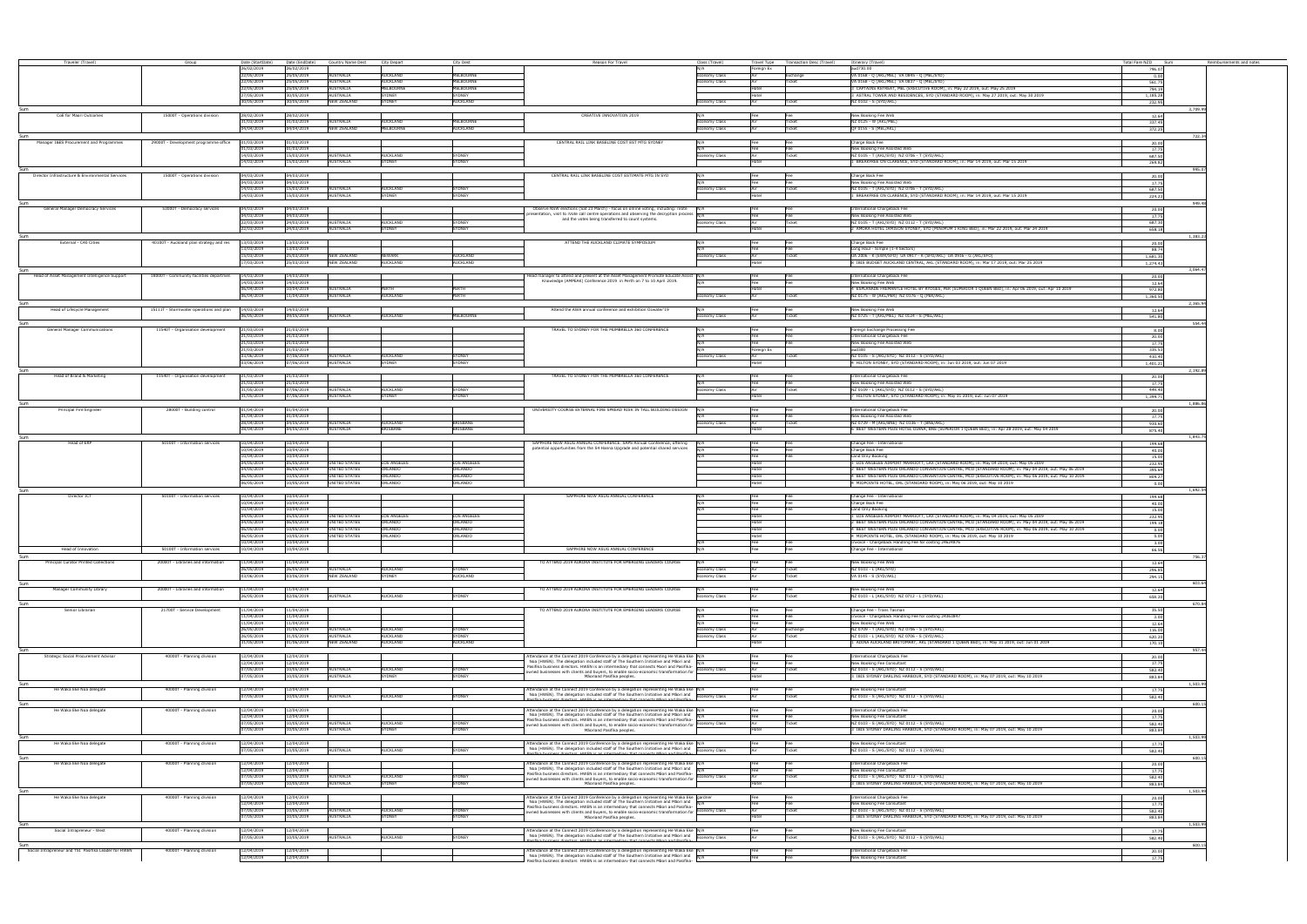| Travel Type Transaction Desc (Travel) Itinerary (Travel)<br>Traveler (Travel)<br>Date (StartDate)<br>Date (EndDate) Country Name Dest City Denart<br>City Dest<br>Reason For Travel<br>Class (Travel)<br>Group<br>26/02/2019<br>aud730.00<br>26/02/2019<br>oreian Ex<br>25/05/2019<br>MELBOURNE<br>22/05/2019<br><b>AUSTRALIA</b><br><b>AUCKLAND</b><br>VA 0168 - Q (AKL/MEL) VA 0845 - Q (MEL/SYD)<br>conomy Class<br>Exchange<br><b>MELBOURNE</b><br>22/05/2019<br>25/05/2019<br>AUSTRALIA<br><b>AUCKLAND</b><br>VA 0168 - Q (AKL/MEL) VA 0837 - Q (MEL/SYD)<br>conomy Class<br>Ticket<br>25/05/2019<br>MELBOURNE<br>CAPTAINS RETREAT, MEL (EXECUTIVE ROOM), in: May 22 2019, out: May 25 2019<br>22/05/2019<br><b>AUSTRALIA</b><br><b>MELBOURNE</b><br>30/05/2019<br><b>AUSTRALIA</b><br>SYDNEY<br>SYDNEY<br>ASTRAL TOWER AND RESIDENCES, SYD (STANDARD ROOM), in: May 27 2019, out: May 30 2019<br>27/05/2019<br>30/05/2019<br>SYDNEY<br>30/05/2019<br><b>NEW ZEALAND</b><br><b>AUCKLAND</b><br>NZ 0102 - S (SYD/AKL)<br>Ticket<br>conomy Class<br>CREATIVE INNOVATION 2019<br>New Booking Fee Web<br>CoE for Maori Outcomes<br>15000T - Operations division<br>28/02/2019<br>28/02/2019<br>1/03/2019<br>31/03/2019<br>AUSTRALIA<br>AUCKLAND<br><b>MELBOURNE</b><br>IZ 0125 - W (AKL/MEL)<br>nomy Class<br><b>Ticket</b><br>04/04/2019<br>04/04/2019<br>NEW ZEALAND<br>MELBOURNE<br><b>AUCKLAND</b><br>QF 0155 - S (MEL/AKL)<br>omy Class<br>Ticket<br>CENTRAL RAIL LINK BASELINE COST EST MTG SYDNEY<br>Manager I&ES Procurement and Programmes<br>29000T - Development programme office<br>01/03/2019<br>Charge Back Fee<br>01/03/2019<br>N/A<br>1/03/2019<br>01/03/2019<br>New Booking Fee Assisted Web | Total Fare NZD Sum<br>Reimbursements and notes<br>796.07<br>0.00<br>561.75<br>794.19<br>1,185.28 |
|----------------------------------------------------------------------------------------------------------------------------------------------------------------------------------------------------------------------------------------------------------------------------------------------------------------------------------------------------------------------------------------------------------------------------------------------------------------------------------------------------------------------------------------------------------------------------------------------------------------------------------------------------------------------------------------------------------------------------------------------------------------------------------------------------------------------------------------------------------------------------------------------------------------------------------------------------------------------------------------------------------------------------------------------------------------------------------------------------------------------------------------------------------------------------------------------------------------------------------------------------------------------------------------------------------------------------------------------------------------------------------------------------------------------------------------------------------------------------------------------------------------------------------------------------------------------------------------------------------------------------------------------------------------------------------------------------------------|--------------------------------------------------------------------------------------------------|
|                                                                                                                                                                                                                                                                                                                                                                                                                                                                                                                                                                                                                                                                                                                                                                                                                                                                                                                                                                                                                                                                                                                                                                                                                                                                                                                                                                                                                                                                                                                                                                                                                                                                                                                |                                                                                                  |
|                                                                                                                                                                                                                                                                                                                                                                                                                                                                                                                                                                                                                                                                                                                                                                                                                                                                                                                                                                                                                                                                                                                                                                                                                                                                                                                                                                                                                                                                                                                                                                                                                                                                                                                |                                                                                                  |
|                                                                                                                                                                                                                                                                                                                                                                                                                                                                                                                                                                                                                                                                                                                                                                                                                                                                                                                                                                                                                                                                                                                                                                                                                                                                                                                                                                                                                                                                                                                                                                                                                                                                                                                |                                                                                                  |
|                                                                                                                                                                                                                                                                                                                                                                                                                                                                                                                                                                                                                                                                                                                                                                                                                                                                                                                                                                                                                                                                                                                                                                                                                                                                                                                                                                                                                                                                                                                                                                                                                                                                                                                |                                                                                                  |
|                                                                                                                                                                                                                                                                                                                                                                                                                                                                                                                                                                                                                                                                                                                                                                                                                                                                                                                                                                                                                                                                                                                                                                                                                                                                                                                                                                                                                                                                                                                                                                                                                                                                                                                |                                                                                                  |
|                                                                                                                                                                                                                                                                                                                                                                                                                                                                                                                                                                                                                                                                                                                                                                                                                                                                                                                                                                                                                                                                                                                                                                                                                                                                                                                                                                                                                                                                                                                                                                                                                                                                                                                | 232.95                                                                                           |
|                                                                                                                                                                                                                                                                                                                                                                                                                                                                                                                                                                                                                                                                                                                                                                                                                                                                                                                                                                                                                                                                                                                                                                                                                                                                                                                                                                                                                                                                                                                                                                                                                                                                                                                | 3.709.9                                                                                          |
|                                                                                                                                                                                                                                                                                                                                                                                                                                                                                                                                                                                                                                                                                                                                                                                                                                                                                                                                                                                                                                                                                                                                                                                                                                                                                                                                                                                                                                                                                                                                                                                                                                                                                                                | 12.64                                                                                            |
|                                                                                                                                                                                                                                                                                                                                                                                                                                                                                                                                                                                                                                                                                                                                                                                                                                                                                                                                                                                                                                                                                                                                                                                                                                                                                                                                                                                                                                                                                                                                                                                                                                                                                                                | 337.45<br>372.25                                                                                 |
|                                                                                                                                                                                                                                                                                                                                                                                                                                                                                                                                                                                                                                                                                                                                                                                                                                                                                                                                                                                                                                                                                                                                                                                                                                                                                                                                                                                                                                                                                                                                                                                                                                                                                                                | 722.3                                                                                            |
|                                                                                                                                                                                                                                                                                                                                                                                                                                                                                                                                                                                                                                                                                                                                                                                                                                                                                                                                                                                                                                                                                                                                                                                                                                                                                                                                                                                                                                                                                                                                                                                                                                                                                                                | 20.00                                                                                            |
|                                                                                                                                                                                                                                                                                                                                                                                                                                                                                                                                                                                                                                                                                                                                                                                                                                                                                                                                                                                                                                                                                                                                                                                                                                                                                                                                                                                                                                                                                                                                                                                                                                                                                                                | 17.75                                                                                            |
| 14/03/2019<br>15/03/2019<br><b>AUSTRALIA</b><br><b>AUCKLAND</b><br><b>YDNEY</b><br>NZ 0105 - T (AKL/SYD) NZ 0706 - T (SYD/AKL)<br>nomy Class<br>icket                                                                                                                                                                                                                                                                                                                                                                                                                                                                                                                                                                                                                                                                                                                                                                                                                                                                                                                                                                                                                                                                                                                                                                                                                                                                                                                                                                                                                                                                                                                                                          | 687.50                                                                                           |
| 14/03/2019<br>15/03/2019<br>AUSTRALIA<br>SYDNEY<br>SYDNEY<br>BREAKFREE ON CLARENCE, SYD (STANDARD ROOM), in: Mar 14 2019, out: Mar 15 2019                                                                                                                                                                                                                                                                                                                                                                                                                                                                                                                                                                                                                                                                                                                                                                                                                                                                                                                                                                                                                                                                                                                                                                                                                                                                                                                                                                                                                                                                                                                                                                     | 269.82                                                                                           |
| CENTRAL RAIL LINK BASELINE COST ESTIMATE MTG IN SYD<br>15000T - Operations division<br>Charge Back Fee<br>Director Infrastructure & Environmental Services<br>04/03/2019<br>04/03/2019<br>N/A                                                                                                                                                                                                                                                                                                                                                                                                                                                                                                                                                                                                                                                                                                                                                                                                                                                                                                                                                                                                                                                                                                                                                                                                                                                                                                                                                                                                                                                                                                                  | 995.0<br>20.00                                                                                   |
| 04/03/2019<br>04/03/2019<br>New Booking Fee Assisted Web<br>Fee                                                                                                                                                                                                                                                                                                                                                                                                                                                                                                                                                                                                                                                                                                                                                                                                                                                                                                                                                                                                                                                                                                                                                                                                                                                                                                                                                                                                                                                                                                                                                                                                                                                | 17.75                                                                                            |
| 14/03/2019<br>15/03/2019<br><b>AUSTRALIA</b><br>NZ 0105 - T (AKL/SYD) NZ 0706 - T (SYD/AKL)<br><b>SYDNEY</b><br><b>AUCKLAND</b><br>Ticket<br>conomy Class                                                                                                                                                                                                                                                                                                                                                                                                                                                                                                                                                                                                                                                                                                                                                                                                                                                                                                                                                                                                                                                                                                                                                                                                                                                                                                                                                                                                                                                                                                                                                      | 687.50                                                                                           |
| BREAKFREE ON CLARENCE, SYD (STANDARD ROOM), in: Mar 14 2019, out: Mar 15 2019<br>14/03/2019<br>15/03/2019<br>AUSTRALIA<br>SYDNEY<br>SYDNEY                                                                                                                                                                                                                                                                                                                                                                                                                                                                                                                                                                                                                                                                                                                                                                                                                                                                                                                                                                                                                                                                                                                                                                                                                                                                                                                                                                                                                                                                                                                                                                     | 224.23                                                                                           |
|                                                                                                                                                                                                                                                                                                                                                                                                                                                                                                                                                                                                                                                                                                                                                                                                                                                                                                                                                                                                                                                                                                                                                                                                                                                                                                                                                                                                                                                                                                                                                                                                                                                                                                                | 49.4                                                                                             |
| General Manager Democracy Services<br>53000T - Democracy services<br>Observe NSW elections (Sat 23 March) - focus on online voting, including: iVote<br>International Chargeback Fee<br>14/03/2019<br>04/03/2019<br>presentation, visit to iVote call centre operations and observing the decryption process N/A<br>04/03/2019<br>04/03/2019<br>New Booking Fee Assisted Web<br>Fee                                                                                                                                                                                                                                                                                                                                                                                                                                                                                                                                                                                                                                                                                                                                                                                                                                                                                                                                                                                                                                                                                                                                                                                                                                                                                                                            | 20.00<br>17.75                                                                                   |
| and the votes being transferred to count systems.<br>22/03/2019<br>24/03/2019<br>NZ 0105 - T (AKL/SYD) NZ 0112 - T (SYD/AKL)<br>AUSTRALIA<br><b>SYDNEY</b><br><b>AUCKLAND</b><br>onomy Class<br>Ticket                                                                                                                                                                                                                                                                                                                                                                                                                                                                                                                                                                                                                                                                                                                                                                                                                                                                                                                                                                                                                                                                                                                                                                                                                                                                                                                                                                                                                                                                                                         | 687.30                                                                                           |
| 22/03/2019<br>24/03/2019<br><b>AUSTRALIA</b><br><b>SYDNEY</b><br>AMORA HOTEL JAMISON SYDNEY, SYD (MINIMUM 1 KING BED), in: Mar 22 2019, out: Mar 24 2019<br>YDNFY                                                                                                                                                                                                                                                                                                                                                                                                                                                                                                                                                                                                                                                                                                                                                                                                                                                                                                                                                                                                                                                                                                                                                                                                                                                                                                                                                                                                                                                                                                                                              | 658.18                                                                                           |
|                                                                                                                                                                                                                                                                                                                                                                                                                                                                                                                                                                                                                                                                                                                                                                                                                                                                                                                                                                                                                                                                                                                                                                                                                                                                                                                                                                                                                                                                                                                                                                                                                                                                                                                | 1,383.2                                                                                          |
| ATTEND THE AUCKLAND CLIMATE SYMPOSIUM<br>External - C40 Cities<br>40100T - Auckland plan strategy and res<br>13/03/2019<br>13/03/2019<br>Charge Back Fee<br>N/A                                                                                                                                                                                                                                                                                                                                                                                                                                                                                                                                                                                                                                                                                                                                                                                                                                                                                                                                                                                                                                                                                                                                                                                                                                                                                                                                                                                                                                                                                                                                                | 20.00                                                                                            |
| 13/03/2019<br>3/03/2019<br>Long Haul - Simple (1-4 Sectors)<br>Fee<br>15/03/2019<br>25/03/2019<br><b>AUCKLAND</b><br>UA 2006 - K (EWR/SFO) UA 0917 - K (SFO/AKL) UA 0916 - G (AKL/SFO)<br><b>NEW ZEALAND</b><br>NEWARK<br>Ticket<br>nomy Class                                                                                                                                                                                                                                                                                                                                                                                                                                                                                                                                                                                                                                                                                                                                                                                                                                                                                                                                                                                                                                                                                                                                                                                                                                                                                                                                                                                                                                                                 | 88.74                                                                                            |
| 17/03/2019<br>25/03/2019<br>NEW ZEALAND<br>AUCKLAND<br><b>AUCKLAND</b><br>8 IBIS BUDGET AUCKLAND CENTRAL, AKL (STANDARD ROOM), in: Mar 17 2019, out: Mar 25 2019                                                                                                                                                                                                                                                                                                                                                                                                                                                                                                                                                                                                                                                                                                                                                                                                                                                                                                                                                                                                                                                                                                                                                                                                                                                                                                                                                                                                                                                                                                                                               | 1.681.30<br>1.274.43                                                                             |
|                                                                                                                                                                                                                                                                                                                                                                                                                                                                                                                                                                                                                                                                                                                                                                                                                                                                                                                                                                                                                                                                                                                                                                                                                                                                                                                                                                                                                                                                                                                                                                                                                                                                                                                | 3,064.4                                                                                          |
| Head of Asset Management Intelligence Support<br>18000T - Community facilities departmen<br>14/03/2019<br>14/03/2019<br>Head manager to attend and present at the Asset Management Promote Educate Assist N/A<br>International Chargeback Fee<br>Fee                                                                                                                                                                                                                                                                                                                                                                                                                                                                                                                                                                                                                                                                                                                                                                                                                                                                                                                                                                                                                                                                                                                                                                                                                                                                                                                                                                                                                                                           | 20.00                                                                                            |
| Knowledge (AMPEAK) Conference 2019 in Perth on 7 to 10 April 2019.<br>14/03/2019<br>14/03/2019<br>New Booking Fee Web                                                                                                                                                                                                                                                                                                                                                                                                                                                                                                                                                                                                                                                                                                                                                                                                                                                                                                                                                                                                                                                                                                                                                                                                                                                                                                                                                                                                                                                                                                                                                                                          | 12.64                                                                                            |
| 06/04/2019<br>10/04/2019<br>4 ESPLANADE FREMANTLE HOTEL BY RYDGES, PER (SUPERIOR 1 OUEEN BED), in: Apr 06 2019, out: Apr 10 2019<br><b>AUSTRALIA</b><br>PERTH<br><b>PFRTH</b><br>11/04/2019<br><b>AUSTRALIA</b><br>PERTH<br>06/04/2019<br>AUCKLAND<br>NZ 0175 - W (AKL/PER) NZ 0176 - Q (PER/AKL)<br>onomy Class<br>Ticke                                                                                                                                                                                                                                                                                                                                                                                                                                                                                                                                                                                                                                                                                                                                                                                                                                                                                                                                                                                                                                                                                                                                                                                                                                                                                                                                                                                      | 972.80                                                                                           |
|                                                                                                                                                                                                                                                                                                                                                                                                                                                                                                                                                                                                                                                                                                                                                                                                                                                                                                                                                                                                                                                                                                                                                                                                                                                                                                                                                                                                                                                                                                                                                                                                                                                                                                                | 1,360.50<br>2.365.9                                                                              |
| New Booking Fee Web<br>Head of Lifecycle Management<br>15111T - Stormwater operations and plan<br>14/03/2019<br>14/03/2019<br>Attend the AWA annual conference and exhibition Ozwater'19                                                                                                                                                                                                                                                                                                                                                                                                                                                                                                                                                                                                                                                                                                                                                                                                                                                                                                                                                                                                                                                                                                                                                                                                                                                                                                                                                                                                                                                                                                                       | 12.64                                                                                            |
| 06/05/2019<br>09/05/2019<br><b>MELBOURNE</b><br>NZ 0725 - T (AKL/MEL) NZ 0124 - S (MEL/AKL)<br><b>AUSTRALIA</b><br><b>AUCKLAND</b>                                                                                                                                                                                                                                                                                                                                                                                                                                                                                                                                                                                                                                                                                                                                                                                                                                                                                                                                                                                                                                                                                                                                                                                                                                                                                                                                                                                                                                                                                                                                                                             | 541.80                                                                                           |
|                                                                                                                                                                                                                                                                                                                                                                                                                                                                                                                                                                                                                                                                                                                                                                                                                                                                                                                                                                                                                                                                                                                                                                                                                                                                                                                                                                                                                                                                                                                                                                                                                                                                                                                | 554.4                                                                                            |
| RAVEL TO SYDNEY FOR THE MUMBRELLA 360 CONFERENCE<br>11540T - Organisation development<br>1/03/2019<br>Foreign Exchange Processing Fee<br>General Manager Communications<br>21/03/2019                                                                                                                                                                                                                                                                                                                                                                                                                                                                                                                                                                                                                                                                                                                                                                                                                                                                                                                                                                                                                                                                                                                                                                                                                                                                                                                                                                                                                                                                                                                          | 8.00                                                                                             |
| 1/03/2019<br>21/03/2019<br>ternational Chargeback Fee<br>1/03/2019<br>21/03/2019<br>New Booking Fee Assisted Web                                                                                                                                                                                                                                                                                                                                                                                                                                                                                                                                                                                                                                                                                                                                                                                                                                                                                                                                                                                                                                                                                                                                                                                                                                                                                                                                                                                                                                                                                                                                                                                               | 20.00<br>17.75                                                                                   |
| 21/03/2019<br>21/03/2019<br>N/A<br>Foreign Ex<br>aud300                                                                                                                                                                                                                                                                                                                                                                                                                                                                                                                                                                                                                                                                                                                                                                                                                                                                                                                                                                                                                                                                                                                                                                                                                                                                                                                                                                                                                                                                                                                                                                                                                                                        | 335.53                                                                                           |
| 03/06/2019<br>07/06/2019<br>AUSTRALIA<br>NZ 0105 - S (AKL/SYD) NZ 0112 - S (SYD/AKL)<br>AUCKLAND<br><b>SYDNEY</b><br>nomy Class<br>Ticket                                                                                                                                                                                                                                                                                                                                                                                                                                                                                                                                                                                                                                                                                                                                                                                                                                                                                                                                                                                                                                                                                                                                                                                                                                                                                                                                                                                                                                                                                                                                                                      | 410.40                                                                                           |
| 3/06/2019<br>07/06/2019<br><b>AUSTRALIA</b><br>SYDNEY<br><b>SYDNEY</b><br>HILTON SYDNEY, SYD (STANDARD ROOM), in: Jun 03 2019, out: Jun 07 2019                                                                                                                                                                                                                                                                                                                                                                                                                                                                                                                                                                                                                                                                                                                                                                                                                                                                                                                                                                                                                                                                                                                                                                                                                                                                                                                                                                                                                                                                                                                                                                | 1,401.21                                                                                         |
| TRAVEL TO SYDNEY FOR THE MUMBRELLA 360 CONFERENCE<br>Head of Brand & Marketing<br>International Chargeback Fee<br>11540T - Organisation development<br>21/03/2019<br>21/03/2019<br>N/A                                                                                                                                                                                                                                                                                                                                                                                                                                                                                                                                                                                                                                                                                                                                                                                                                                                                                                                                                                                                                                                                                                                                                                                                                                                                                                                                                                                                                                                                                                                         | 2.192.89                                                                                         |
| 21/03/2019<br>21/03/2019<br>New Booking Fee Assisted Web<br>Fee                                                                                                                                                                                                                                                                                                                                                                                                                                                                                                                                                                                                                                                                                                                                                                                                                                                                                                                                                                                                                                                                                                                                                                                                                                                                                                                                                                                                                                                                                                                                                                                                                                                | 20.00<br>17.75                                                                                   |
| 31/05/2019<br>07/06/2019<br>AUSTRALIA<br>NZ 0109 - L (AKL/SYD) NZ 0112 - S (SYD/AKL)<br><b>SYDNEY</b><br>AUCKLAND<br>Ticket<br>Economy Class                                                                                                                                                                                                                                                                                                                                                                                                                                                                                                                                                                                                                                                                                                                                                                                                                                                                                                                                                                                                                                                                                                                                                                                                                                                                                                                                                                                                                                                                                                                                                                   | 449.40                                                                                           |
| HILTON SYDNEY, SYD (STANDARD ROOM), in: May 31 2019, out: Jun 07 2019<br>31/05/2019<br>07/06/2019<br>AUSTRALIA<br>SYDNEY<br>SYDNEY<br>Hotel                                                                                                                                                                                                                                                                                                                                                                                                                                                                                                                                                                                                                                                                                                                                                                                                                                                                                                                                                                                                                                                                                                                                                                                                                                                                                                                                                                                                                                                                                                                                                                    | 1.399.71                                                                                         |
|                                                                                                                                                                                                                                                                                                                                                                                                                                                                                                                                                                                                                                                                                                                                                                                                                                                                                                                                                                                                                                                                                                                                                                                                                                                                                                                                                                                                                                                                                                                                                                                                                                                                                                                |                                                                                                  |
| Principal Fire Engineer<br>28000T - Building control<br>1/04/2019<br>01/04/2019<br>UNIVERSITY COURSE EXTERNAL FIRE SPREAD RISK IN TALL BUILDING DESIGN<br>International Chargeback Fee<br>IN/A<br>Fee<br>1/04/2019<br>01/04/2019<br>New Booking Fee Assisted Web                                                                                                                                                                                                                                                                                                                                                                                                                                                                                                                                                                                                                                                                                                                                                                                                                                                                                                                                                                                                                                                                                                                                                                                                                                                                                                                                                                                                                                               | 20.00                                                                                            |
| Fee<br>28/04/2019<br>04/05/2019<br><b>AUSTRALIA</b><br>NZ 0739 - M (AKL/BNE) NZ 0136 - T (BNE/AKL)<br>RISBANE<br>AUCKI AND<br>Economy Class<br>Ticket                                                                                                                                                                                                                                                                                                                                                                                                                                                                                                                                                                                                                                                                                                                                                                                                                                                                                                                                                                                                                                                                                                                                                                                                                                                                                                                                                                                                                                                                                                                                                          | 17.75<br>930.60                                                                                  |
| 28/04/2019<br>04/05/2019<br><b>AUSTRALIA</b><br><b>BRISBANE</b><br><b>BRISBANE</b><br>BEST WESTERN PLUS HOTEL DIANA, BNE (SUPERIOR 1 QUEEN BED), in: Apr 28 2019, out: May 04 2019                                                                                                                                                                                                                                                                                                                                                                                                                                                                                                                                                                                                                                                                                                                                                                                                                                                                                                                                                                                                                                                                                                                                                                                                                                                                                                                                                                                                                                                                                                                             | 875.40                                                                                           |
|                                                                                                                                                                                                                                                                                                                                                                                                                                                                                                                                                                                                                                                                                                                                                                                                                                                                                                                                                                                                                                                                                                                                                                                                                                                                                                                                                                                                                                                                                                                                                                                                                                                                                                                | 1.843.7                                                                                          |
| Sum                                                                                                                                                                                                                                                                                                                                                                                                                                                                                                                                                                                                                                                                                                                                                                                                                                                                                                                                                                                                                                                                                                                                                                                                                                                                                                                                                                                                                                                                                                                                                                                                                                                                                                            | 199.68                                                                                           |
| SAPPHIRE NOW ASUG ANNUAL CONFERENCE. SAPS Annual Conference, offering<br>50100T - Information services<br>10/04/2019<br>10/04/2019<br>Change Fee - International<br>Head of ER                                                                                                                                                                                                                                                                                                                                                                                                                                                                                                                                                                                                                                                                                                                                                                                                                                                                                                                                                                                                                                                                                                                                                                                                                                                                                                                                                                                                                                                                                                                                 |                                                                                                  |
| potential opportunities from the S4 Hanna Upgrade and potential shared services<br>0/04/2019<br>10/04/2019<br>Charge Back Fee                                                                                                                                                                                                                                                                                                                                                                                                                                                                                                                                                                                                                                                                                                                                                                                                                                                                                                                                                                                                                                                                                                                                                                                                                                                                                                                                                                                                                                                                                                                                                                                  | 40.00                                                                                            |
| 0/04/2019<br>10/04/2019<br>Land Only Booking<br>-ee<br>Hotel                                                                                                                                                                                                                                                                                                                                                                                                                                                                                                                                                                                                                                                                                                                                                                                                                                                                                                                                                                                                                                                                                                                                                                                                                                                                                                                                                                                                                                                                                                                                                                                                                                                   | 15.00                                                                                            |
| 04/05/2019<br>05/05/2019<br>UNITED STATES<br>LOS ANGELES<br>LOS ANGELES<br>LOS ANGELES AIRPORT MARRIOTT, LAX (STANDARD ROOM), in: May 04 2019, out: May 05 2019<br>04/05/2019<br>06/05/2019<br>UNITED STATES<br>ORLANDO<br>ORLANDO<br>BEST WESTERN PLUS ORLANDO CONVENTION CENTRE, MCO (STANDARD ROOM), in: May 04 2019, out: May 06 2019<br>Hotel                                                                                                                                                                                                                                                                                                                                                                                                                                                                                                                                                                                                                                                                                                                                                                                                                                                                                                                                                                                                                                                                                                                                                                                                                                                                                                                                                             | 232.95<br>395.64                                                                                 |
| <b>UNITED STATES</b><br>BEST WESTERN PLUS ORLANDO CONVENTION CENTRE, MCO (EXECUTIVE ROOM), in: May 06 2019, out: May 10 2019<br>06/05/2019<br>10/05/2019<br>ORLANDO<br>ORLANDO                                                                                                                                                                                                                                                                                                                                                                                                                                                                                                                                                                                                                                                                                                                                                                                                                                                                                                                                                                                                                                                                                                                                                                                                                                                                                                                                                                                                                                                                                                                                 | 809.27                                                                                           |
| 06/05/2019<br>10/05/2019<br>UNITED STATES<br><b>ORLANDO</b><br>ORLANDO<br>MIDPOINTE HOTEL, ORL (STANDARD ROOM), in: May 06 2019, out: May 10 2019                                                                                                                                                                                                                                                                                                                                                                                                                                                                                                                                                                                                                                                                                                                                                                                                                                                                                                                                                                                                                                                                                                                                                                                                                                                                                                                                                                                                                                                                                                                                                              | 0.00                                                                                             |
| 50100T - Information services<br>10/04/2019<br>SAPPHIRE NOW ASUG ANNUAL CONFERENCE<br>10/04/2019<br>Director ICT<br>N/A                                                                                                                                                                                                                                                                                                                                                                                                                                                                                                                                                                                                                                                                                                                                                                                                                                                                                                                                                                                                                                                                                                                                                                                                                                                                                                                                                                                                                                                                                                                                                                                        | 1.692.5                                                                                          |
| Sum<br>Change Fee - International<br>10/04/2019<br>10/04/2019<br>Charge Back Fee                                                                                                                                                                                                                                                                                                                                                                                                                                                                                                                                                                                                                                                                                                                                                                                                                                                                                                                                                                                                                                                                                                                                                                                                                                                                                                                                                                                                                                                                                                                                                                                                                               | 199.68<br>40.00                                                                                  |
| 10/04/2019<br>10/04/2019<br>Land Only Booking                                                                                                                                                                                                                                                                                                                                                                                                                                                                                                                                                                                                                                                                                                                                                                                                                                                                                                                                                                                                                                                                                                                                                                                                                                                                                                                                                                                                                                                                                                                                                                                                                                                                  | 15.00                                                                                            |
| LOS ANGELES AIRPORT MARRIOTT, LAX (STANDARD ROOM), in: May 04 2019, out: May 05 2019<br>04/05/2019<br>05/05/2019<br><b>UNITED STATES</b><br><b>LOS ANGELES</b><br>OS ANGELES                                                                                                                                                                                                                                                                                                                                                                                                                                                                                                                                                                                                                                                                                                                                                                                                                                                                                                                                                                                                                                                                                                                                                                                                                                                                                                                                                                                                                                                                                                                                   | 232.95                                                                                           |
| 06/05/2019<br><b>UNITED STATES</b><br>BEST WESTERN PLUS ORLANDO CONVENTION CENTRE, MCO (STANDARD ROOM), in: May 04 2019, out: May 06 2019<br>04/05/2019<br><b>ORLANDO</b><br>ORLANDO                                                                                                                                                                                                                                                                                                                                                                                                                                                                                                                                                                                                                                                                                                                                                                                                                                                                                                                                                                                                                                                                                                                                                                                                                                                                                                                                                                                                                                                                                                                           | 199.18                                                                                           |
| BEST WESTERN PLUS ORLANDO CONVENTION CENTRE, MCO (EXECUTIVE ROOM), in: May 06 2019, out: May 10 2019<br>06/05/2019<br>10/05/2019<br><b>UNITED STATES</b><br><b>ORLANDO</b><br>ORLANDO<br>ORLANDO<br>4 MIDPOINTE HOTEL, ORL (STANDARD ROOM), in: May 06 2019, out: May 10 2019<br>06/05/2019<br>10/05/2019<br>UNITED STATES<br>ORLANDO<br>Hotel                                                                                                                                                                                                                                                                                                                                                                                                                                                                                                                                                                                                                                                                                                                                                                                                                                                                                                                                                                                                                                                                                                                                                                                                                                                                                                                                                                 | 0.00                                                                                             |
| 10/04/2019<br>10/04/2019<br>Invoice - Chargeback Handling Fee for costing 24624876<br>Fee<br>Fer                                                                                                                                                                                                                                                                                                                                                                                                                                                                                                                                                                                                                                                                                                                                                                                                                                                                                                                                                                                                                                                                                                                                                                                                                                                                                                                                                                                                                                                                                                                                                                                                               | 0.00<br>3.00                                                                                     |
| 50100T - Information services<br>10/04/2019<br>10/04/2019<br>SAPPHIRE NOW ASUG ANNUAL CONFERENCE<br>N/A<br>Fee<br>Change Fee - International<br>Head of Innovation<br>Fee                                                                                                                                                                                                                                                                                                                                                                                                                                                                                                                                                                                                                                                                                                                                                                                                                                                                                                                                                                                                                                                                                                                                                                                                                                                                                                                                                                                                                                                                                                                                      | 66.56                                                                                            |
|                                                                                                                                                                                                                                                                                                                                                                                                                                                                                                                                                                                                                                                                                                                                                                                                                                                                                                                                                                                                                                                                                                                                                                                                                                                                                                                                                                                                                                                                                                                                                                                                                                                                                                                |                                                                                                  |
| Principal Curator Printed Collections<br>20000T - Libraries and information<br>TO ATTEND 2019 AURORA INSTITUTE FOR EMERGING LEADERS COURSE<br>New Booking Fee Web<br>1/04/2019<br>11/04/2019<br>26/05/2019<br>NZ 0103 - L (AKL/SYD)<br>6/05/2019<br><b>AUSTRALIA</b><br><b>SYDNEY</b><br><b>AUCKLAND</b><br>conomy Class<br>Ticke                                                                                                                                                                                                                                                                                                                                                                                                                                                                                                                                                                                                                                                                                                                                                                                                                                                                                                                                                                                                                                                                                                                                                                                                                                                                                                                                                                              | 12.64                                                                                            |
| 03/06/2019<br>03/06/2019<br><b>NEW ZEALAND</b><br>SYDNEY<br><b>AUCKLAND</b><br>VA 0145 - S (SYD/AKL)<br>nomy Class                                                                                                                                                                                                                                                                                                                                                                                                                                                                                                                                                                                                                                                                                                                                                                                                                                                                                                                                                                                                                                                                                                                                                                                                                                                                                                                                                                                                                                                                                                                                                                                             | 296.85<br>294.15                                                                                 |
|                                                                                                                                                                                                                                                                                                                                                                                                                                                                                                                                                                                                                                                                                                                                                                                                                                                                                                                                                                                                                                                                                                                                                                                                                                                                                                                                                                                                                                                                                                                                                                                                                                                                                                                | 603.6                                                                                            |
| TO ATTEND 2019 AURORA INSTITUTE FOR EMERGING LEADERS COURSE<br>20000T - Libraries and information<br>11/04/2019<br>New Booking Fee Web<br>Manager Community Library<br>11/04/2019<br>N/A<br>Fee                                                                                                                                                                                                                                                                                                                                                                                                                                                                                                                                                                                                                                                                                                                                                                                                                                                                                                                                                                                                                                                                                                                                                                                                                                                                                                                                                                                                                                                                                                                | 12.64                                                                                            |
| 26/05/2019<br>02/06/2019<br><b>AUSTRALIA</b><br><b>SYDNEY</b><br>NZ 0103 - L (AKL/SYD) NZ 0712 - L (SYD/AKL)<br>AUCKLAND<br>Economy Class<br>Ticket                                                                                                                                                                                                                                                                                                                                                                                                                                                                                                                                                                                                                                                                                                                                                                                                                                                                                                                                                                                                                                                                                                                                                                                                                                                                                                                                                                                                                                                                                                                                                            | 658.20<br>670.84                                                                                 |
| TO ATTEND 2019 AURORA INSTITUTE FOR EMERGING LEADERS COURSE<br>21700T - Service Development<br>Change Fee - Trans Tasman<br>11/04/2019<br>11/04/2019<br>Senior Librarian<br>N/A<br>Fee                                                                                                                                                                                                                                                                                                                                                                                                                                                                                                                                                                                                                                                                                                                                                                                                                                                                                                                                                                                                                                                                                                                                                                                                                                                                                                                                                                                                                                                                                                                         | 35.50                                                                                            |
| 1/04/2019<br>11/04/2019<br>Invoice - Chargeback Handling Fee for costing 24363847<br>Fee                                                                                                                                                                                                                                                                                                                                                                                                                                                                                                                                                                                                                                                                                                                                                                                                                                                                                                                                                                                                                                                                                                                                                                                                                                                                                                                                                                                                                                                                                                                                                                                                                       | 3.00                                                                                             |
| 11/04/2019<br>11/04/2019<br>New Booking Fee Web<br>Fee                                                                                                                                                                                                                                                                                                                                                                                                                                                                                                                                                                                                                                                                                                                                                                                                                                                                                                                                                                                                                                                                                                                                                                                                                                                                                                                                                                                                                                                                                                                                                                                                                                                         | 12.64                                                                                            |
| NZ 0709 - T (AKL/SYD) NZ 0706 - S (SYD/AKL)<br>26/05/2019<br>31/05/2019<br>SYDNEY<br>AUSTRALIA<br><b>AUCKLAND</b><br>Exchange<br>Economy Class<br>26/05/2019<br><b>AUSTRALIA</b><br><b>AUCKLAND</b><br><b>SYDNEY</b><br>NZ 0103 - L (AKL/SYD) NZ 0706 - S (SYD/AKL)<br>31/05/2019<br>conomy Class<br>Ticket                                                                                                                                                                                                                                                                                                                                                                                                                                                                                                                                                                                                                                                                                                                                                                                                                                                                                                                                                                                                                                                                                                                                                                                                                                                                                                                                                                                                    | 116.00                                                                                           |
| 31/05/2019<br>01/06/2019<br><b>NEW ZEALAND</b><br>AUCKLAND<br><b>AUCKLAND</b><br>1 ADINA AUCKLAND BRITOMART, AKL (STANDARD 1 QUEEN BED), in: May 31 2019, out: Jun 01 2019                                                                                                                                                                                                                                                                                                                                                                                                                                                                                                                                                                                                                                                                                                                                                                                                                                                                                                                                                                                                                                                                                                                                                                                                                                                                                                                                                                                                                                                                                                                                     | 620.20<br>170.10                                                                                 |
|                                                                                                                                                                                                                                                                                                                                                                                                                                                                                                                                                                                                                                                                                                                                                                                                                                                                                                                                                                                                                                                                                                                                                                                                                                                                                                                                                                                                                                                                                                                                                                                                                                                                                                                | 957.44                                                                                           |
| Strategic Social Procurement Advisor<br>40000T - Planning division<br>2/04/2019<br>12/04/2019<br>Attendance at the Connect 2019 Conference by a delegation representing He Waka Eke N/A<br>International Chargeback Fee                                                                                                                                                                                                                                                                                                                                                                                                                                                                                                                                                                                                                                                                                                                                                                                                                                                                                                                                                                                                                                                                                                                                                                                                                                                                                                                                                                                                                                                                                        | 20.00                                                                                            |
| Noa (HWEN). The delegation included staff of The Southern Initiative and Maori and $\overline{N/A}$<br>12/04/2019<br>2/04/2019<br>New Booking Fee Consultant<br>07/05/2019<br><b>AUCKLAND</b><br><b>SYDNEY</b><br>Ticket                                                                                                                                                                                                                                                                                                                                                                                                                                                                                                                                                                                                                                                                                                                                                                                                                                                                                                                                                                                                                                                                                                                                                                                                                                                                                                                                                                                                                                                                                       | 17.75                                                                                            |
| Pasifika business directors. HWEN is an intermediary that connects Maori and Pasifika-<br>owned businesses with clients and buyers, to enable socio-economic transformation for Economy Class<br>10/05/2019<br>NZ 0103 - S (AKL/SYD) NZ 0112 - S (SYD/AKL)<br>AUSTRALIA<br>07/05/2019<br>10/05/2019<br>AUSTRALIA<br>SYDNEY<br><b>SYDNEY</b><br>3 IBIS SYDNEY DARLING HARBOUR, SYD (STANDARD ROOM), in: May 07 2019, out: May 10 2019<br>Mäoriand Pasifika peoples.                                                                                                                                                                                                                                                                                                                                                                                                                                                                                                                                                                                                                                                                                                                                                                                                                                                                                                                                                                                                                                                                                                                                                                                                                                             | 582.40<br>883.84                                                                                 |
|                                                                                                                                                                                                                                                                                                                                                                                                                                                                                                                                                                                                                                                                                                                                                                                                                                                                                                                                                                                                                                                                                                                                                                                                                                                                                                                                                                                                                                                                                                                                                                                                                                                                                                                | 1,503.9                                                                                          |
| He Waka Eke Noa delegate<br>40000T - Planning division<br>Attendance at the Connect 2019 Conference by a delegation representing He Waka Eke N/A<br>New Booking Fee Consultant<br>12/04/2019<br>12/04/2019                                                                                                                                                                                                                                                                                                                                                                                                                                                                                                                                                                                                                                                                                                                                                                                                                                                                                                                                                                                                                                                                                                                                                                                                                                                                                                                                                                                                                                                                                                     | 17.75                                                                                            |
| Noa (HWEN). The delegation included staff of The Southern Initiative and Maori and Economy Class<br>07/05/2019<br>10/05/2019<br>NZ 0103 - S (AKL/SYD) NZ 0112 - S (SYD/AKL)<br>AUSTRALIA<br>AUCKLAND<br>SYDNEY<br>Ticket                                                                                                                                                                                                                                                                                                                                                                                                                                                                                                                                                                                                                                                                                                                                                                                                                                                                                                                                                                                                                                                                                                                                                                                                                                                                                                                                                                                                                                                                                       | 582.40                                                                                           |
| 12/04/2019<br>Attendance at the Connect 2019 Conference by a delegation representing He Waka Eke N/A<br>He Waka Eke Noa delegate<br>40000T - Planning division<br>12/04/2019<br>International Chargeback Fee<br>Fee                                                                                                                                                                                                                                                                                                                                                                                                                                                                                                                                                                                                                                                                                                                                                                                                                                                                                                                                                                                                                                                                                                                                                                                                                                                                                                                                                                                                                                                                                            | 600.1                                                                                            |
| Noa (HWEN). The delegation included staff of The Southern Initiative and Maori and $N/A$<br>12/04/2019<br>New Booking Fee Consultant<br>12/04/2019<br>Fee                                                                                                                                                                                                                                                                                                                                                                                                                                                                                                                                                                                                                                                                                                                                                                                                                                                                                                                                                                                                                                                                                                                                                                                                                                                                                                                                                                                                                                                                                                                                                      | 20.00<br>17.75                                                                                   |
| Pasifika business directors. HWEN is an intermediary that connects Maori and Pasifika-<br>07/05/2019<br>10/05/2019<br>NZ 0103 - S (AKL/SYD) NZ 0112 - S (SYD/AKL)<br>AUSTRALIA<br>AUCKLAND<br>SYDNEY<br>Ticket<br>owned businesses with clients and buyers, to enable socio-economic transformation for Economy Class                                                                                                                                                                                                                                                                                                                                                                                                                                                                                                                                                                                                                                                                                                                                                                                                                                                                                                                                                                                                                                                                                                                                                                                                                                                                                                                                                                                          | 582.40                                                                                           |
| 10/05/2019<br>AUSTRALIA<br>3 IBIS SYDNEY DARLING HARBOUR, SYD (STANDARD ROOM), in: May 07 2019, out: May 10 2019<br>07/05/2019<br>SYDNEY<br>SYDNEY<br>Mäoriand Pasifika peoples.                                                                                                                                                                                                                                                                                                                                                                                                                                                                                                                                                                                                                                                                                                                                                                                                                                                                                                                                                                                                                                                                                                                                                                                                                                                                                                                                                                                                                                                                                                                               | 883.84                                                                                           |
| 2/04/2019                                                                                                                                                                                                                                                                                                                                                                                                                                                                                                                                                                                                                                                                                                                                                                                                                                                                                                                                                                                                                                                                                                                                                                                                                                                                                                                                                                                                                                                                                                                                                                                                                                                                                                      | 1,503.99                                                                                         |
| 40000T - Planning division<br>Attendance at the Connect 2019 Conference by a delegation representing He Waka Eke N/A<br>New Booking Fee Consultant<br>He Waka Eke Noa delegate<br>12/04/2019<br>10/05/2019<br>Noa (HWEN). The delegation included staff of The Southern Initiative and Maori and Economy Class<br>17/05/2019<br>NZ 0103 - S (AKL/SYD) NZ 0112 - S (SYD/AKL)<br><b>YDNFY</b><br>AUSTRALIA<br><b>AUCKLAND</b>                                                                                                                                                                                                                                                                                                                                                                                                                                                                                                                                                                                                                                                                                                                                                                                                                                                                                                                                                                                                                                                                                                                                                                                                                                                                                    | 17.75<br>582.40                                                                                  |
|                                                                                                                                                                                                                                                                                                                                                                                                                                                                                                                                                                                                                                                                                                                                                                                                                                                                                                                                                                                                                                                                                                                                                                                                                                                                                                                                                                                                                                                                                                                                                                                                                                                                                                                | 600.1                                                                                            |
| He Waka Eke Noa delegate<br>40000T - Planning division<br>Attendance at the Connect 2019 Conference by a delegation representing He Waka Eke N/A<br>nternational Chargeback Fee<br>2/04/2019<br>12/04/2019                                                                                                                                                                                                                                                                                                                                                                                                                                                                                                                                                                                                                                                                                                                                                                                                                                                                                                                                                                                                                                                                                                                                                                                                                                                                                                                                                                                                                                                                                                     | 20.00                                                                                            |
| Noa (HWEN). The delegation included staff of The Southern Initiative and Maori and $\overline{N/A}$<br>2/04/2019<br>12/04/2019<br>lew Booking Fee Consultant<br>Fee                                                                                                                                                                                                                                                                                                                                                                                                                                                                                                                                                                                                                                                                                                                                                                                                                                                                                                                                                                                                                                                                                                                                                                                                                                                                                                                                                                                                                                                                                                                                            | 17.75                                                                                            |
| Pasifika business directors. HWEN is an intermediary that connects Maori and Pasifika-<br>owned businesses with clients and buyers, to enable socio-economic transformation for Economy Class<br>07/05/2019<br>10/05/2019<br>AUSTRALIA<br><b>AUCKLAND</b><br>SYDNEY<br>NZ 0103 - S (AKL/SYD) NZ 0112 - S (SYD/AKL)<br>icke<br>07/05/2019<br>10/05/2019<br>AUSTRALIA<br>SYDNEY<br>SYDNEY<br>IBIS SYDNEY DARLING HARBOUR, SYD (STANDARD ROOM), in: May 07 2019, out: May 10 2019<br>Mäoriand Pasifika peoples.                                                                                                                                                                                                                                                                                                                                                                                                                                                                                                                                                                                                                                                                                                                                                                                                                                                                                                                                                                                                                                                                                                                                                                                                   | 582.40<br>883.84                                                                                 |
|                                                                                                                                                                                                                                                                                                                                                                                                                                                                                                                                                                                                                                                                                                                                                                                                                                                                                                                                                                                                                                                                                                                                                                                                                                                                                                                                                                                                                                                                                                                                                                                                                                                                                                                | 1,503.99                                                                                         |
| 40000T - Planning division<br>He Waka Eke Noa delegate<br>12/04/2019<br>12/04/2019<br>Attendance at the Connect 2019 Conference by a delegation representing He Waka Eke   gardner<br>International Chargeback Fee<br>Fee<br><b>Fee</b>                                                                                                                                                                                                                                                                                                                                                                                                                                                                                                                                                                                                                                                                                                                                                                                                                                                                                                                                                                                                                                                                                                                                                                                                                                                                                                                                                                                                                                                                        | 20.00                                                                                            |
| Noa (HWEN). The delegation included staff of The Southern Initiative and Maori and $N/A$<br>12/04/2019<br>12/04/2019<br>New Booking Fee Consultant<br>Fee<br>Fee<br>Pasifika business directors. HWEN is an intermediary that connects Maori and Pasifika-                                                                                                                                                                                                                                                                                                                                                                                                                                                                                                                                                                                                                                                                                                                                                                                                                                                                                                                                                                                                                                                                                                                                                                                                                                                                                                                                                                                                                                                     | 17.75                                                                                            |
| 07/05/2019<br>10/05/2019<br>NZ 0103 - S (AKL/SYD) NZ 0112 - S (SYD/AKL)<br><b>AUSTRALIA</b><br>SYDNEY<br>owned businesses with clients and buyers, to enable socio-economic transformation for Economy Class<br><b>AUCKLAND</b><br>Ticket<br>IBIS SYDNEY DARLING HARBOUR, SYD (STANDARD ROOM), in: May 07 2019, out: May 10 2019<br>7/05/2019<br>10/05/2019<br><b>AUSTRALIA</b><br>SYDNEY<br>SYDNEY<br>Mäoriand Pasifika peoples.<br>Hotel                                                                                                                                                                                                                                                                                                                                                                                                                                                                                                                                                                                                                                                                                                                                                                                                                                                                                                                                                                                                                                                                                                                                                                                                                                                                     | 582.40<br>883.84                                                                                 |
| Sum                                                                                                                                                                                                                                                                                                                                                                                                                                                                                                                                                                                                                                                                                                                                                                                                                                                                                                                                                                                                                                                                                                                                                                                                                                                                                                                                                                                                                                                                                                                                                                                                                                                                                                            | 1,503.9                                                                                          |
| Social Intrapreneur - West<br>40000T - Planning division<br>12/04/2019<br>12/04/2019<br>Attendance at the Connect 2019 Conference by a delegation representing He Waka Eke N/A<br>New Booking Fee Consultant<br>Fee                                                                                                                                                                                                                                                                                                                                                                                                                                                                                                                                                                                                                                                                                                                                                                                                                                                                                                                                                                                                                                                                                                                                                                                                                                                                                                                                                                                                                                                                                            | 17.75                                                                                            |
| Noa (HWEN). The delegation included staff of The Southern Initiative and Maori and Economy Class<br>7/05/2019<br>NZ 0103 - S (AKL/SYD) NZ 0112 - S (SYD/AKL)<br>10/05/2019<br>AUSTRALIA<br>AUCKLAND<br>SYDNEY<br>Ticket<br>c HWFN ic an ir                                                                                                                                                                                                                                                                                                                                                                                                                                                                                                                                                                                                                                                                                                                                                                                                                                                                                                                                                                                                                                                                                                                                                                                                                                                                                                                                                                                                                                                                     | 582.40                                                                                           |
| Attendance at the Connect 2019 Conference by a delegation representing He Waka Eke N/A<br>International Chargeback Fee<br>Social Intrapreneur and TSI Pasifika Leader for HWEN<br>40000T - Planning division<br>12/04/2019<br>12/04/2019<br>Fee<br>Noa (HWEN). The delegation included staff of The Southern Initiative and Maori and                                                                                                                                                                                                                                                                                                                                                                                                                                                                                                                                                                                                                                                                                                                                                                                                                                                                                                                                                                                                                                                                                                                                                                                                                                                                                                                                                                          | 20.00                                                                                            |